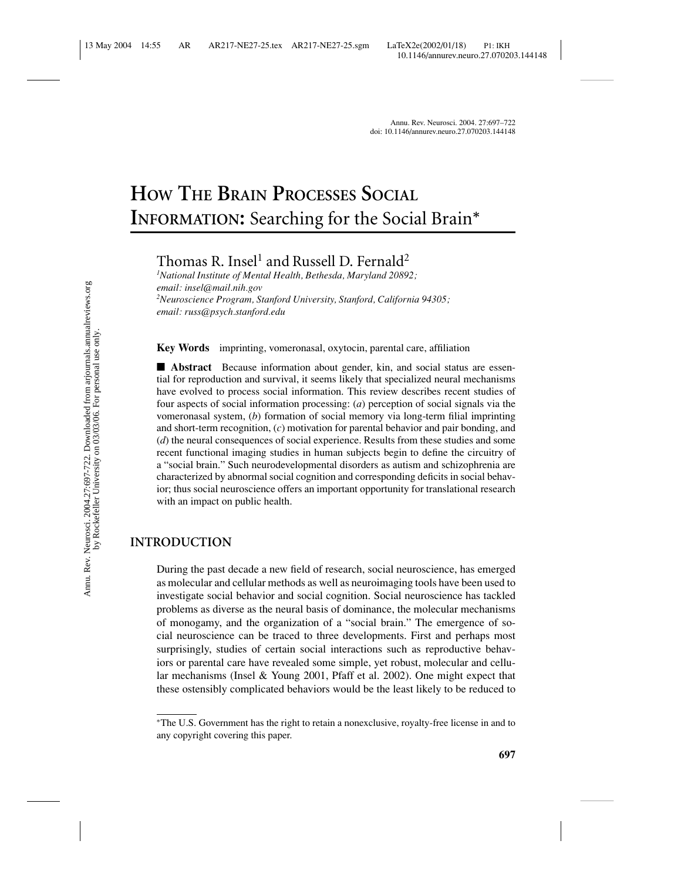# **HOW THE BRAIN PROCESSES SOCIAL INFORMATION:** Searching for the Social Brain*<sup>∗</sup>*

Thomas R. Insel<sup>1</sup> and Russell D. Fernald<sup>2</sup>

*1 National Institute of Mental Health, Bethesda, Maryland 20892; email: insel@mail.nih.gov 2 Neuroscience Program, Stanford University, Stanford, California 94305; email: russ@psych.stanford.edu*

**Key Words** imprinting, vomeronasal, oxytocin, parental care, affiliation

■ **Abstract** Because information about gender, kin, and social status are essential for reproduction and survival, it seems likely that specialized neural mechanisms have evolved to process social information. This review describes recent studies of four aspects of social information processing: (*a*) perception of social signals via the vomeronasal system, (*b*) formation of social memory via long-term filial imprinting and short-term recognition, (*c*) motivation for parental behavior and pair bonding, and (*d*) the neural consequences of social experience. Results from these studies and some recent functional imaging studies in human subjects begin to define the circuitry of a "social brain." Such neurodevelopmental disorders as autism and schizophrenia are characterized by abnormal social cognition and corresponding deficits in social behavior; thus social neuroscience offers an important opportunity for translational research with an impact on public health.

# **INTRODUCTION**

During the past decade a new field of research, social neuroscience, has emerged as molecular and cellular methods as well as neuroimaging tools have been used to investigate social behavior and social cognition. Social neuroscience has tackled problems as diverse as the neural basis of dominance, the molecular mechanisms of monogamy, and the organization of a "social brain." The emergence of social neuroscience can be traced to three developments. First and perhaps most surprisingly, studies of certain social interactions such as reproductive behaviors or parental care have revealed some simple, yet robust, molecular and cellular mechanisms (Insel & Young 2001, Pfaff et al. 2002). One might expect that these ostensibly complicated behaviors would be the least likely to be reduced to

<sup>∗</sup>The U.S. Government has the right to retain a nonexclusive, royalty-free license in and to any copyright covering this paper.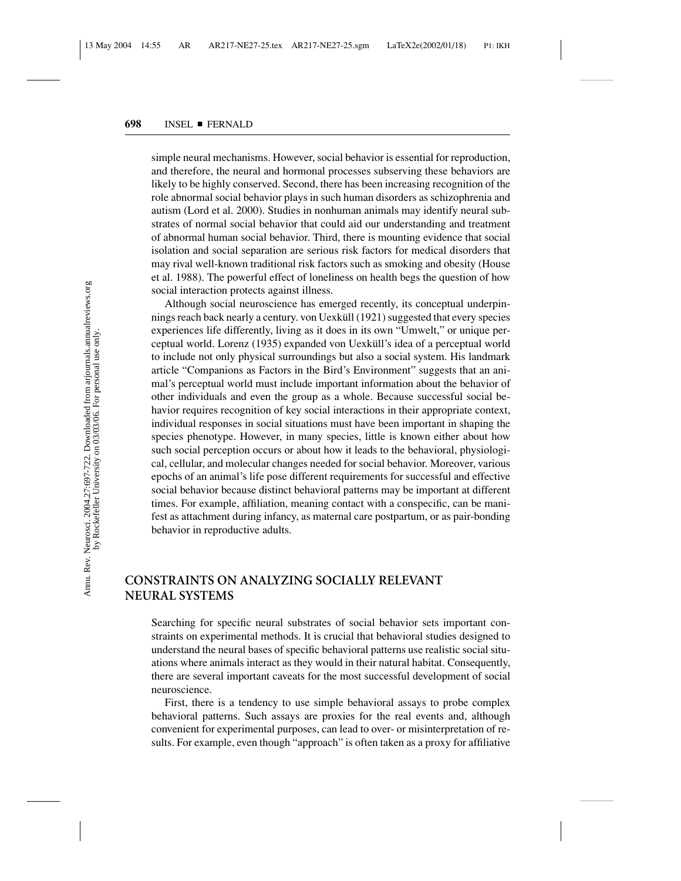simple neural mechanisms. However, social behavior is essential for reproduction, and therefore, the neural and hormonal processes subserving these behaviors are likely to be highly conserved. Second, there has been increasing recognition of the role abnormal social behavior plays in such human disorders as schizophrenia and autism (Lord et al. 2000). Studies in nonhuman animals may identify neural substrates of normal social behavior that could aid our understanding and treatment of abnormal human social behavior. Third, there is mounting evidence that social isolation and social separation are serious risk factors for medical disorders that may rival well-known traditional risk factors such as smoking and obesity (House et al. 1988). The powerful effect of loneliness on health begs the question of how social interaction protects against illness.

Although social neuroscience has emerged recently, its conceptual underpinnings reach back nearly a century. von Uexkull (1921) suggested that every species ¨ experiences life differently, living as it does in its own "Umwelt," or unique perceptual world. Lorenz (1935) expanded von Uexküll's idea of a perceptual world to include not only physical surroundings but also a social system. His landmark article "Companions as Factors in the Bird's Environment" suggests that an animal's perceptual world must include important information about the behavior of other individuals and even the group as a whole. Because successful social behavior requires recognition of key social interactions in their appropriate context, individual responses in social situations must have been important in shaping the species phenotype. However, in many species, little is known either about how such social perception occurs or about how it leads to the behavioral, physiological, cellular, and molecular changes needed for social behavior. Moreover, various epochs of an animal's life pose different requirements for successful and effective social behavior because distinct behavioral patterns may be important at different times. For example, affiliation, meaning contact with a conspecific, can be manifest as attachment during infancy, as maternal care postpartum, or as pair-bonding behavior in reproductive adults.

# **CONSTRAINTS ON ANALYZING SOCIALLY RELEVANT NEURAL SYSTEMS**

Searching for specific neural substrates of social behavior sets important constraints on experimental methods. It is crucial that behavioral studies designed to understand the neural bases of specific behavioral patterns use realistic social situations where animals interact as they would in their natural habitat. Consequently, there are several important caveats for the most successful development of social neuroscience.

First, there is a tendency to use simple behavioral assays to probe complex behavioral patterns. Such assays are proxies for the real events and, although convenient for experimental purposes, can lead to over- or misinterpretation of results. For example, even though "approach" is often taken as a proxy for affiliative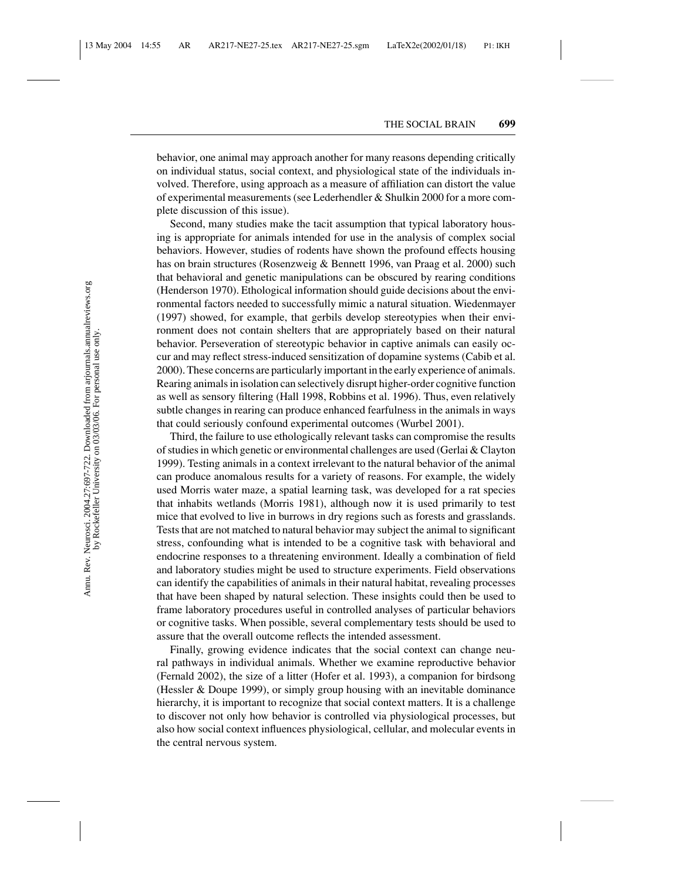behavior, one animal may approach another for many reasons depending critically on individual status, social context, and physiological state of the individuals involved. Therefore, using approach as a measure of affiliation can distort the value of experimental measurements (see Lederhendler & Shulkin 2000 for a more complete discussion of this issue).

Second, many studies make the tacit assumption that typical laboratory housing is appropriate for animals intended for use in the analysis of complex social behaviors. However, studies of rodents have shown the profound effects housing has on brain structures (Rosenzweig & Bennett 1996, van Praag et al. 2000) such that behavioral and genetic manipulations can be obscured by rearing conditions (Henderson 1970). Ethological information should guide decisions about the environmental factors needed to successfully mimic a natural situation. Wiedenmayer (1997) showed, for example, that gerbils develop stereotypies when their environment does not contain shelters that are appropriately based on their natural behavior. Perseveration of stereotypic behavior in captive animals can easily occur and may reflect stress-induced sensitization of dopamine systems (Cabib et al. 2000). These concerns are particularly important in the early experience of animals. Rearing animals in isolation can selectively disrupt higher-order cognitive function as well as sensory filtering (Hall 1998, Robbins et al. 1996). Thus, even relatively subtle changes in rearing can produce enhanced fearfulness in the animals in ways that could seriously confound experimental outcomes (Wurbel 2001).

Third, the failure to use ethologically relevant tasks can compromise the results of studies in which genetic or environmental challenges are used (Gerlai  $\&$  Clayton 1999). Testing animals in a context irrelevant to the natural behavior of the animal can produce anomalous results for a variety of reasons. For example, the widely used Morris water maze, a spatial learning task, was developed for a rat species that inhabits wetlands (Morris 1981), although now it is used primarily to test mice that evolved to live in burrows in dry regions such as forests and grasslands. Tests that are not matched to natural behavior may subject the animal to significant stress, confounding what is intended to be a cognitive task with behavioral and endocrine responses to a threatening environment. Ideally a combination of field and laboratory studies might be used to structure experiments. Field observations can identify the capabilities of animals in their natural habitat, revealing processes that have been shaped by natural selection. These insights could then be used to frame laboratory procedures useful in controlled analyses of particular behaviors or cognitive tasks. When possible, several complementary tests should be used to assure that the overall outcome reflects the intended assessment.

Finally, growing evidence indicates that the social context can change neural pathways in individual animals. Whether we examine reproductive behavior (Fernald 2002), the size of a litter (Hofer et al. 1993), a companion for birdsong (Hessler & Doupe 1999), or simply group housing with an inevitable dominance hierarchy, it is important to recognize that social context matters. It is a challenge to discover not only how behavior is controlled via physiological processes, but also how social context influences physiological, cellular, and molecular events in the central nervous system.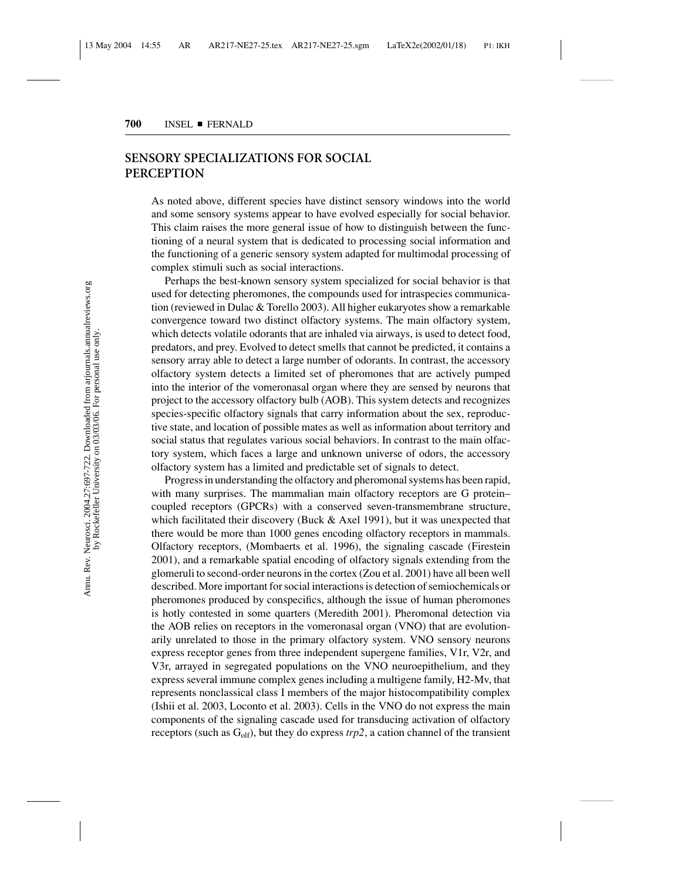# **SENSORY SPECIALIZATIONS FOR SOCIAL PERCEPTION**

As noted above, different species have distinct sensory windows into the world and some sensory systems appear to have evolved especially for social behavior. This claim raises the more general issue of how to distinguish between the functioning of a neural system that is dedicated to processing social information and the functioning of a generic sensory system adapted for multimodal processing of complex stimuli such as social interactions.

Perhaps the best-known sensory system specialized for social behavior is that used for detecting pheromones, the compounds used for intraspecies communication (reviewed in Dulac & Torello 2003). All higher eukaryotes show a remarkable convergence toward two distinct olfactory systems. The main olfactory system, which detects volatile odorants that are inhaled via airways, is used to detect food, predators, and prey. Evolved to detect smells that cannot be predicted, it contains a sensory array able to detect a large number of odorants. In contrast, the accessory olfactory system detects a limited set of pheromones that are actively pumped into the interior of the vomeronasal organ where they are sensed by neurons that project to the accessory olfactory bulb (AOB). This system detects and recognizes species-specific olfactory signals that carry information about the sex, reproductive state, and location of possible mates as well as information about territory and social status that regulates various social behaviors. In contrast to the main olfactory system, which faces a large and unknown universe of odors, the accessory olfactory system has a limited and predictable set of signals to detect.

Progress in understanding the olfactory and pheromonal systems has been rapid, with many surprises. The mammalian main olfactory receptors are G protein– coupled receptors (GPCRs) with a conserved seven-transmembrane structure, which facilitated their discovery (Buck & Axel 1991), but it was unexpected that there would be more than 1000 genes encoding olfactory receptors in mammals. Olfactory receptors, (Mombaerts et al. 1996), the signaling cascade (Firestein 2001), and a remarkable spatial encoding of olfactory signals extending from the glomeruli to second-order neurons in the cortex (Zou et al. 2001) have all been well described. More important for social interactions is detection of semiochemicals or pheromones produced by conspecifics, although the issue of human pheromones is hotly contested in some quarters (Meredith 2001). Pheromonal detection via the AOB relies on receptors in the vomeronasal organ (VNO) that are evolutionarily unrelated to those in the primary olfactory system. VNO sensory neurons express receptor genes from three independent supergene families, V1r, V2r, and V3r, arrayed in segregated populations on the VNO neuroepithelium, and they express several immune complex genes including a multigene family, H2-Mv, that represents nonclassical class I members of the major histocompatibility complex (Ishii et al. 2003, Loconto et al. 2003). Cells in the VNO do not express the main components of the signaling cascade used for transducing activation of olfactory receptors (such as  $G_{\text{olf}}$ ), but they do express *trp2*, a cation channel of the transient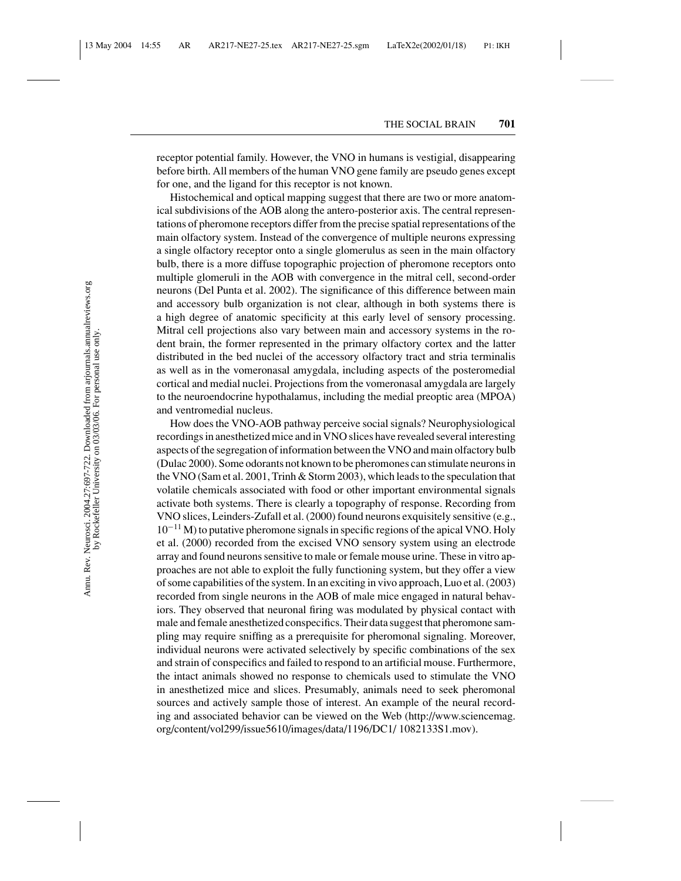receptor potential family. However, the VNO in humans is vestigial, disappearing before birth. All members of the human VNO gene family are pseudo genes except for one, and the ligand for this receptor is not known.

Histochemical and optical mapping suggest that there are two or more anatomical subdivisions of the AOB along the antero-posterior axis. The central representations of pheromone receptors differ from the precise spatial representations of the main olfactory system. Instead of the convergence of multiple neurons expressing a single olfactory receptor onto a single glomerulus as seen in the main olfactory bulb, there is a more diffuse topographic projection of pheromone receptors onto multiple glomeruli in the AOB with convergence in the mitral cell, second-order neurons (Del Punta et al. 2002). The significance of this difference between main and accessory bulb organization is not clear, although in both systems there is a high degree of anatomic specificity at this early level of sensory processing. Mitral cell projections also vary between main and accessory systems in the rodent brain, the former represented in the primary olfactory cortex and the latter distributed in the bed nuclei of the accessory olfactory tract and stria terminalis as well as in the vomeronasal amygdala, including aspects of the posteromedial cortical and medial nuclei. Projections from the vomeronasal amygdala are largely to the neuroendocrine hypothalamus, including the medial preoptic area (MPOA) and ventromedial nucleus.

How does the VNO-AOB pathway perceive social signals? Neurophysiological recordings in anesthetized mice and in VNO slices have revealed several interesting aspects of the segregation of information between the VNO and main olfactory bulb (Dulac 2000). Some odorants not known to be pheromones can stimulate neurons in the VNO (Sam et al. 2001, Trinh & Storm 2003), which leads to the speculation that volatile chemicals associated with food or other important environmental signals activate both systems. There is clearly a topography of response. Recording from VNO slices, Leinders-Zufall et al. (2000) found neurons exquisitely sensitive (e.g.,  $10^{-11}$  M) to putative pheromone signals in specific regions of the apical VNO. Holy et al. (2000) recorded from the excised VNO sensory system using an electrode array and found neurons sensitive to male or female mouse urine. These in vitro approaches are not able to exploit the fully functioning system, but they offer a view of some capabilities of the system. In an exciting in vivo approach, Luo et al. (2003) recorded from single neurons in the AOB of male mice engaged in natural behaviors. They observed that neuronal firing was modulated by physical contact with male and female anesthetized conspecifics. Their data suggest that pheromone sampling may require sniffing as a prerequisite for pheromonal signaling. Moreover, individual neurons were activated selectively by specific combinations of the sex and strain of conspecifics and failed to respond to an artificial mouse. Furthermore, the intact animals showed no response to chemicals used to stimulate the VNO in anesthetized mice and slices. Presumably, animals need to seek pheromonal sources and actively sample those of interest. An example of the neural recording and associated behavior can be viewed on the Web (http://www.sciencemag. org/content/vol299/issue5610/images/data/1196/DC1/ 1082133S1.mov).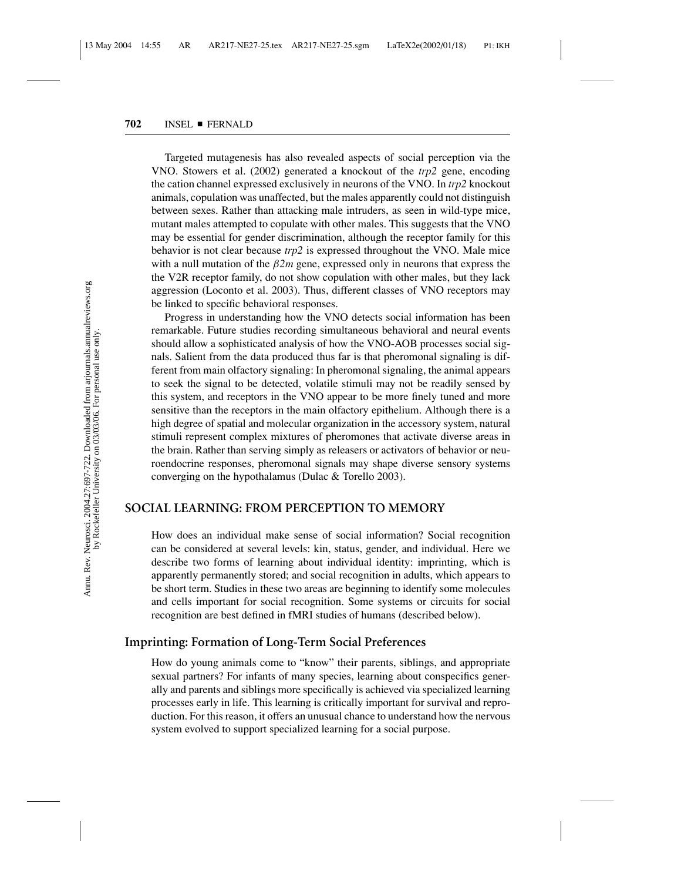Targeted mutagenesis has also revealed aspects of social perception via the VNO. Stowers et al. (2002) generated a knockout of the *trp2* gene, encoding the cation channel expressed exclusively in neurons of the VNO. In *trp2* knockout animals, copulation was unaffected, but the males apparently could not distinguish between sexes. Rather than attacking male intruders, as seen in wild-type mice, mutant males attempted to copulate with other males. This suggests that the VNO may be essential for gender discrimination, although the receptor family for this behavior is not clear because *trp2* is expressed throughout the VNO. Male mice with a null mutation of the β*2m* gene, expressed only in neurons that express the the V2R receptor family, do not show copulation with other males, but they lack aggression (Loconto et al. 2003). Thus, different classes of VNO receptors may be linked to specific behavioral responses.

Progress in understanding how the VNO detects social information has been remarkable. Future studies recording simultaneous behavioral and neural events should allow a sophisticated analysis of how the VNO-AOB processes social signals. Salient from the data produced thus far is that pheromonal signaling is different from main olfactory signaling: In pheromonal signaling, the animal appears to seek the signal to be detected, volatile stimuli may not be readily sensed by this system, and receptors in the VNO appear to be more finely tuned and more sensitive than the receptors in the main olfactory epithelium. Although there is a high degree of spatial and molecular organization in the accessory system, natural stimuli represent complex mixtures of pheromones that activate diverse areas in the brain. Rather than serving simply as releasers or activators of behavior or neuroendocrine responses, pheromonal signals may shape diverse sensory systems converging on the hypothalamus (Dulac & Torello 2003).

## **SOCIAL LEARNING: FROM PERCEPTION TO MEMORY**

How does an individual make sense of social information? Social recognition can be considered at several levels: kin, status, gender, and individual. Here we describe two forms of learning about individual identity: imprinting, which is apparently permanently stored; and social recognition in adults, which appears to be short term. Studies in these two areas are beginning to identify some molecules and cells important for social recognition. Some systems or circuits for social recognition are best defined in fMRI studies of humans (described below).

## **Imprinting: Formation of Long-Term Social Preferences**

How do young animals come to "know" their parents, siblings, and appropriate sexual partners? For infants of many species, learning about conspecifics generally and parents and siblings more specifically is achieved via specialized learning processes early in life. This learning is critically important for survival and reproduction. For this reason, it offers an unusual chance to understand how the nervous system evolved to support specialized learning for a social purpose.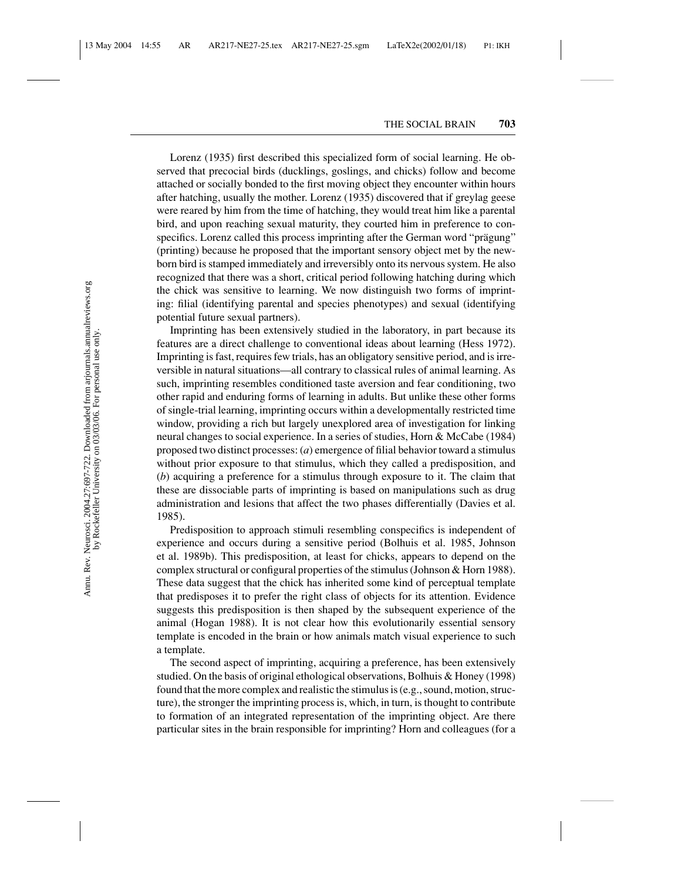Lorenz (1935) first described this specialized form of social learning. He observed that precocial birds (ducklings, goslings, and chicks) follow and become attached or socially bonded to the first moving object they encounter within hours after hatching, usually the mother. Lorenz (1935) discovered that if greylag geese were reared by him from the time of hatching, they would treat him like a parental bird, and upon reaching sexual maturity, they courted him in preference to conspecifics. Lorenz called this process imprinting after the German word "prägung" (printing) because he proposed that the important sensory object met by the newborn bird is stamped immediately and irreversibly onto its nervous system. He also recognized that there was a short, critical period following hatching during which the chick was sensitive to learning. We now distinguish two forms of imprinting: filial (identifying parental and species phenotypes) and sexual (identifying potential future sexual partners).

Imprinting has been extensively studied in the laboratory, in part because its features are a direct challenge to conventional ideas about learning (Hess 1972). Imprinting is fast, requires few trials, has an obligatory sensitive period, and is irreversible in natural situations—all contrary to classical rules of animal learning. As such, imprinting resembles conditioned taste aversion and fear conditioning, two other rapid and enduring forms of learning in adults. But unlike these other forms of single-trial learning, imprinting occurs within a developmentally restricted time window, providing a rich but largely unexplored area of investigation for linking neural changes to social experience. In a series of studies, Horn & McCabe (1984) proposed two distinct processes: (*a*) emergence of filial behavior toward a stimulus without prior exposure to that stimulus, which they called a predisposition, and (*b*) acquiring a preference for a stimulus through exposure to it. The claim that these are dissociable parts of imprinting is based on manipulations such as drug administration and lesions that affect the two phases differentially (Davies et al. 1985).

Predisposition to approach stimuli resembling conspecifics is independent of experience and occurs during a sensitive period (Bolhuis et al. 1985, Johnson et al. 1989b). This predisposition, at least for chicks, appears to depend on the complex structural or configural properties of the stimulus (Johnson & Horn 1988). These data suggest that the chick has inherited some kind of perceptual template that predisposes it to prefer the right class of objects for its attention. Evidence suggests this predisposition is then shaped by the subsequent experience of the animal (Hogan 1988). It is not clear how this evolutionarily essential sensory template is encoded in the brain or how animals match visual experience to such a template.

The second aspect of imprinting, acquiring a preference, has been extensively studied. On the basis of original ethological observations, Bolhuis & Honey (1998) found that the more complex and realistic the stimulus is (e.g., sound, motion, structure), the stronger the imprinting process is, which, in turn, is thought to contribute to formation of an integrated representation of the imprinting object. Are there particular sites in the brain responsible for imprinting? Horn and colleagues (for a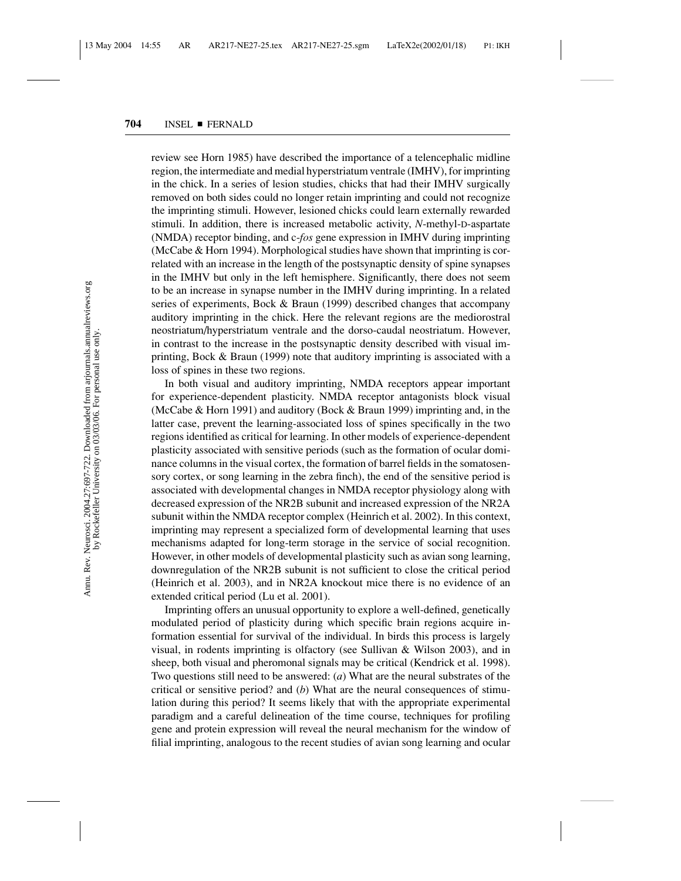review see Horn 1985) have described the importance of a telencephalic midline region, the intermediate and medial hyperstriatum ventrale (IMHV), for imprinting in the chick. In a series of lesion studies, chicks that had their IMHV surgically removed on both sides could no longer retain imprinting and could not recognize the imprinting stimuli. However, lesioned chicks could learn externally rewarded stimuli. In addition, there is increased metabolic activity, *N*-methyl-D-aspartate (NMDA) receptor binding, and c-*fos* gene expression in IMHV during imprinting (McCabe & Horn 1994). Morphological studies have shown that imprinting is correlated with an increase in the length of the postsynaptic density of spine synapses in the IMHV but only in the left hemisphere. Significantly, there does not seem to be an increase in synapse number in the IMHV during imprinting. In a related series of experiments, Bock & Braun (1999) described changes that accompany auditory imprinting in the chick. Here the relevant regions are the mediorostral neostriatum/hyperstriatum ventrale and the dorso-caudal neostriatum. However, in contrast to the increase in the postsynaptic density described with visual imprinting, Bock & Braun (1999) note that auditory imprinting is associated with a loss of spines in these two regions.

In both visual and auditory imprinting, NMDA receptors appear important for experience-dependent plasticity. NMDA receptor antagonists block visual (McCabe & Horn 1991) and auditory (Bock & Braun 1999) imprinting and, in the latter case, prevent the learning-associated loss of spines specifically in the two regions identified as critical for learning. In other models of experience-dependent plasticity associated with sensitive periods (such as the formation of ocular dominance columns in the visual cortex, the formation of barrel fields in the somatosensory cortex, or song learning in the zebra finch), the end of the sensitive period is associated with developmental changes in NMDA receptor physiology along with decreased expression of the NR2B subunit and increased expression of the NR2A subunit within the NMDA receptor complex (Heinrich et al. 2002). In this context, imprinting may represent a specialized form of developmental learning that uses mechanisms adapted for long-term storage in the service of social recognition. However, in other models of developmental plasticity such as avian song learning, downregulation of the NR2B subunit is not sufficient to close the critical period (Heinrich et al. 2003), and in NR2A knockout mice there is no evidence of an extended critical period (Lu et al. 2001).

Imprinting offers an unusual opportunity to explore a well-defined, genetically modulated period of plasticity during which specific brain regions acquire information essential for survival of the individual. In birds this process is largely visual, in rodents imprinting is olfactory (see Sullivan & Wilson 2003), and in sheep, both visual and pheromonal signals may be critical (Kendrick et al. 1998). Two questions still need to be answered: (*a*) What are the neural substrates of the critical or sensitive period? and (*b*) What are the neural consequences of stimulation during this period? It seems likely that with the appropriate experimental paradigm and a careful delineation of the time course, techniques for profiling gene and protein expression will reveal the neural mechanism for the window of filial imprinting, analogous to the recent studies of avian song learning and ocular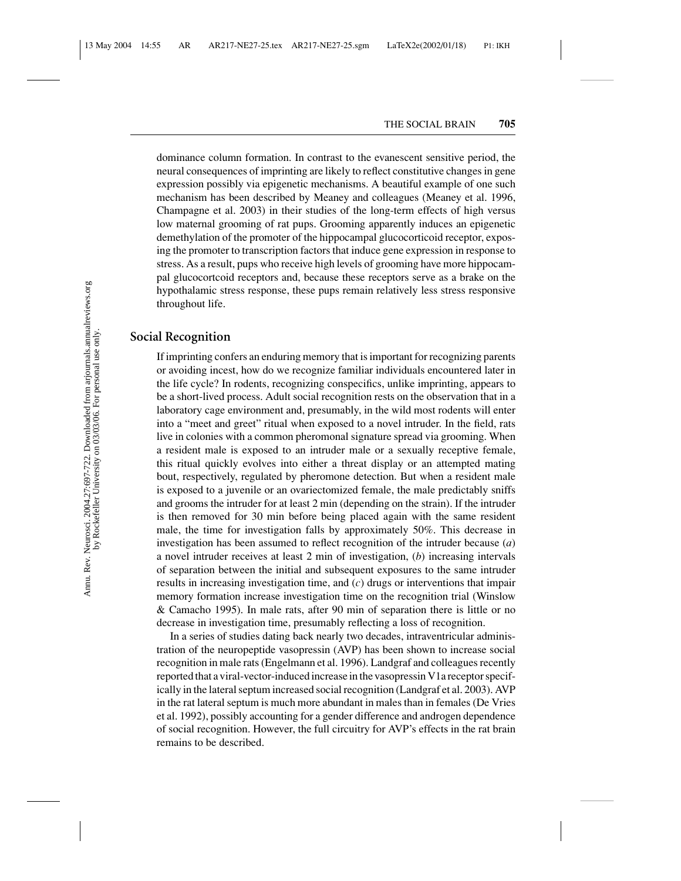dominance column formation. In contrast to the evanescent sensitive period, the neural consequences of imprinting are likely to reflect constitutive changes in gene expression possibly via epigenetic mechanisms. A beautiful example of one such mechanism has been described by Meaney and colleagues (Meaney et al. 1996, Champagne et al. 2003) in their studies of the long-term effects of high versus low maternal grooming of rat pups. Grooming apparently induces an epigenetic demethylation of the promoter of the hippocampal glucocorticoid receptor, exposing the promoter to transcription factors that induce gene expression in response to stress. As a result, pups who receive high levels of grooming have more hippocampal glucocortcoid receptors and, because these receptors serve as a brake on the hypothalamic stress response, these pups remain relatively less stress responsive throughout life.

#### **Social Recognition**

If imprinting confers an enduring memory that is important for recognizing parents or avoiding incest, how do we recognize familiar individuals encountered later in the life cycle? In rodents, recognizing conspecifics, unlike imprinting, appears to be a short-lived process. Adult social recognition rests on the observation that in a laboratory cage environment and, presumably, in the wild most rodents will enter into a "meet and greet" ritual when exposed to a novel intruder. In the field, rats live in colonies with a common pheromonal signature spread via grooming. When a resident male is exposed to an intruder male or a sexually receptive female, this ritual quickly evolves into either a threat display or an attempted mating bout, respectively, regulated by pheromone detection. But when a resident male is exposed to a juvenile or an ovariectomized female, the male predictably sniffs and grooms the intruder for at least 2 min (depending on the strain). If the intruder is then removed for 30 min before being placed again with the same resident male, the time for investigation falls by approximately 50%. This decrease in investigation has been assumed to reflect recognition of the intruder because (*a*) a novel intruder receives at least 2 min of investigation, (*b*) increasing intervals of separation between the initial and subsequent exposures to the same intruder results in increasing investigation time, and (*c*) drugs or interventions that impair memory formation increase investigation time on the recognition trial (Winslow & Camacho 1995). In male rats, after 90 min of separation there is little or no decrease in investigation time, presumably reflecting a loss of recognition.

In a series of studies dating back nearly two decades, intraventricular administration of the neuropeptide vasopressin (AVP) has been shown to increase social recognition in male rats (Engelmann et al. 1996). Landgraf and colleagues recently reported that a viral-vector-induced increase in the vasopressin V1a receptor specifically in the lateral septum increased social recognition (Landgraf et al. 2003). AVP in the rat lateral septum is much more abundant in males than in females (De Vries et al. 1992), possibly accounting for a gender difference and androgen dependence of social recognition. However, the full circuitry for AVP's effects in the rat brain remains to be described.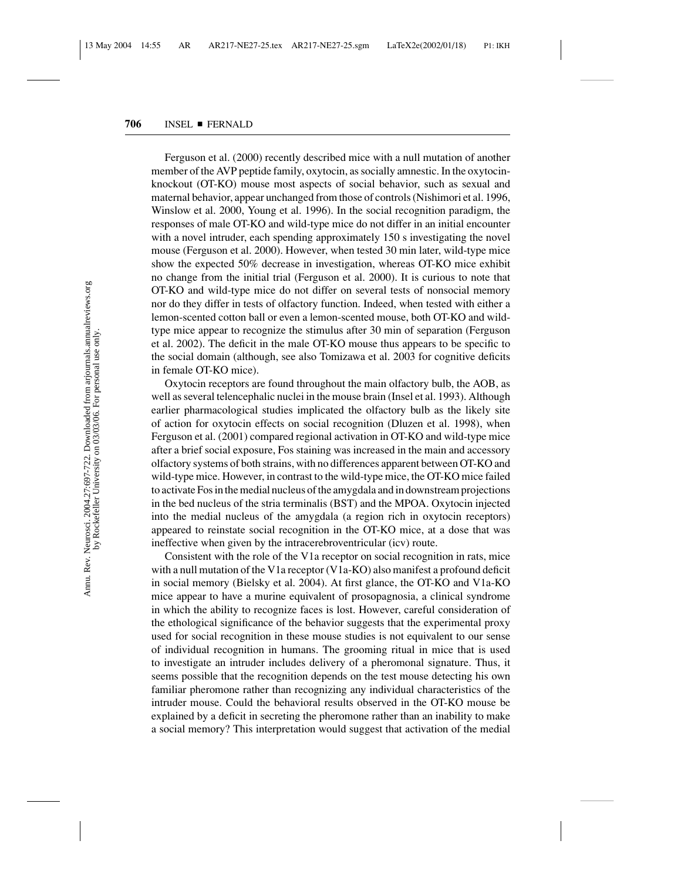Ferguson et al. (2000) recently described mice with a null mutation of another member of the AVP peptide family, oxytocin, as socially amnestic. In the oxytocinknockout (OT-KO) mouse most aspects of social behavior, such as sexual and maternal behavior, appear unchanged from those of controls (Nishimori et al. 1996, Winslow et al. 2000, Young et al. 1996). In the social recognition paradigm, the responses of male OT-KO and wild-type mice do not differ in an initial encounter with a novel intruder, each spending approximately 150 s investigating the novel mouse (Ferguson et al. 2000). However, when tested 30 min later, wild-type mice show the expected 50% decrease in investigation, whereas OT-KO mice exhibit no change from the initial trial (Ferguson et al. 2000). It is curious to note that OT-KO and wild-type mice do not differ on several tests of nonsocial memory nor do they differ in tests of olfactory function. Indeed, when tested with either a lemon-scented cotton ball or even a lemon-scented mouse, both OT-KO and wildtype mice appear to recognize the stimulus after 30 min of separation (Ferguson et al. 2002). The deficit in the male OT-KO mouse thus appears to be specific to the social domain (although, see also Tomizawa et al. 2003 for cognitive deficits in female OT-KO mice).

Oxytocin receptors are found throughout the main olfactory bulb, the AOB, as well as several telencephalic nuclei in the mouse brain (Insel et al. 1993). Although earlier pharmacological studies implicated the olfactory bulb as the likely site of action for oxytocin effects on social recognition (Dluzen et al. 1998), when Ferguson et al. (2001) compared regional activation in OT-KO and wild-type mice after a brief social exposure, Fos staining was increased in the main and accessory olfactory systems of both strains, with no differences apparent between OT-KO and wild-type mice. However, in contrast to the wild-type mice, the OT-KO mice failed to activate Fos in the medial nucleus of the amygdala and in downstream projections in the bed nucleus of the stria terminalis (BST) and the MPOA. Oxytocin injected into the medial nucleus of the amygdala (a region rich in oxytocin receptors) appeared to reinstate social recognition in the OT-KO mice, at a dose that was ineffective when given by the intracerebroventricular (icv) route.

Consistent with the role of the V1a receptor on social recognition in rats, mice with a null mutation of the V1a receptor (V1a-KO) also manifest a profound deficit in social memory (Bielsky et al. 2004). At first glance, the OT-KO and V1a-KO mice appear to have a murine equivalent of prosopagnosia, a clinical syndrome in which the ability to recognize faces is lost. However, careful consideration of the ethological significance of the behavior suggests that the experimental proxy used for social recognition in these mouse studies is not equivalent to our sense of individual recognition in humans. The grooming ritual in mice that is used to investigate an intruder includes delivery of a pheromonal signature. Thus, it seems possible that the recognition depends on the test mouse detecting his own familiar pheromone rather than recognizing any individual characteristics of the intruder mouse. Could the behavioral results observed in the OT-KO mouse be explained by a deficit in secreting the pheromone rather than an inability to make a social memory? This interpretation would suggest that activation of the medial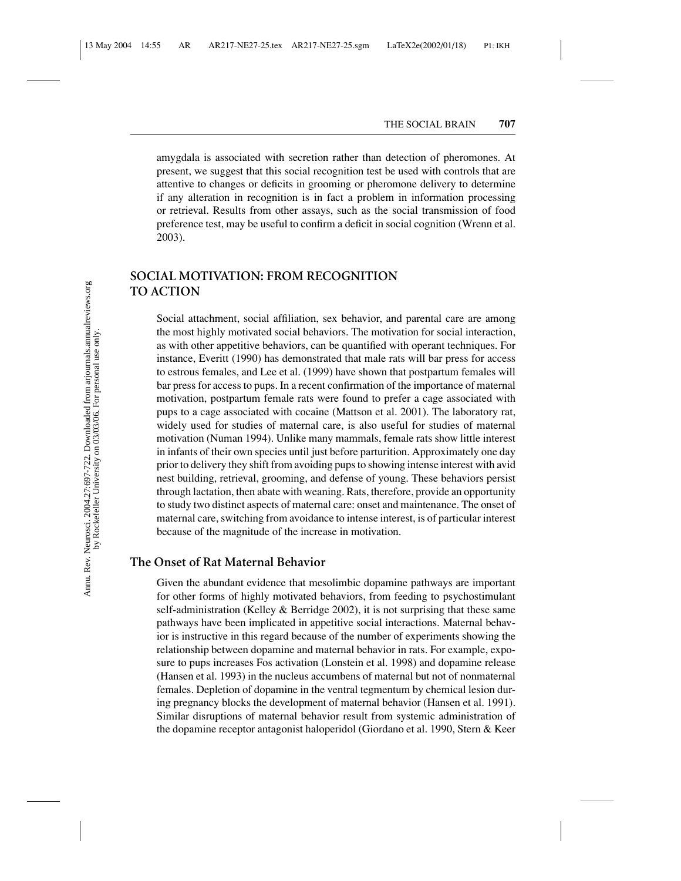amygdala is associated with secretion rather than detection of pheromones. At present, we suggest that this social recognition test be used with controls that are attentive to changes or deficits in grooming or pheromone delivery to determine if any alteration in recognition is in fact a problem in information processing or retrieval. Results from other assays, such as the social transmission of food preference test, may be useful to confirm a deficit in social cognition (Wrenn et al. 2003).

# **SOCIAL MOTIVATION: FROM RECOGNITION TO ACTION**

Social attachment, social affiliation, sex behavior, and parental care are among the most highly motivated social behaviors. The motivation for social interaction, as with other appetitive behaviors, can be quantified with operant techniques. For instance, Everitt (1990) has demonstrated that male rats will bar press for access to estrous females, and Lee et al. (1999) have shown that postpartum females will bar press for access to pups. In a recent confirmation of the importance of maternal motivation, postpartum female rats were found to prefer a cage associated with pups to a cage associated with cocaine (Mattson et al. 2001). The laboratory rat, widely used for studies of maternal care, is also useful for studies of maternal motivation (Numan 1994). Unlike many mammals, female rats show little interest in infants of their own species until just before parturition. Approximately one day prior to delivery they shift from avoiding pups to showing intense interest with avid nest building, retrieval, grooming, and defense of young. These behaviors persist through lactation, then abate with weaning. Rats, therefore, provide an opportunity to study two distinct aspects of maternal care: onset and maintenance. The onset of maternal care, switching from avoidance to intense interest, is of particular interest because of the magnitude of the increase in motivation.

## **The Onset of Rat Maternal Behavior**

Given the abundant evidence that mesolimbic dopamine pathways are important for other forms of highly motivated behaviors, from feeding to psychostimulant self-administration (Kelley & Berridge 2002), it is not surprising that these same pathways have been implicated in appetitive social interactions. Maternal behavior is instructive in this regard because of the number of experiments showing the relationship between dopamine and maternal behavior in rats. For example, exposure to pups increases Fos activation (Lonstein et al. 1998) and dopamine release (Hansen et al. 1993) in the nucleus accumbens of maternal but not of nonmaternal females. Depletion of dopamine in the ventral tegmentum by chemical lesion during pregnancy blocks the development of maternal behavior (Hansen et al. 1991). Similar disruptions of maternal behavior result from systemic administration of the dopamine receptor antagonist haloperidol (Giordano et al. 1990, Stern & Keer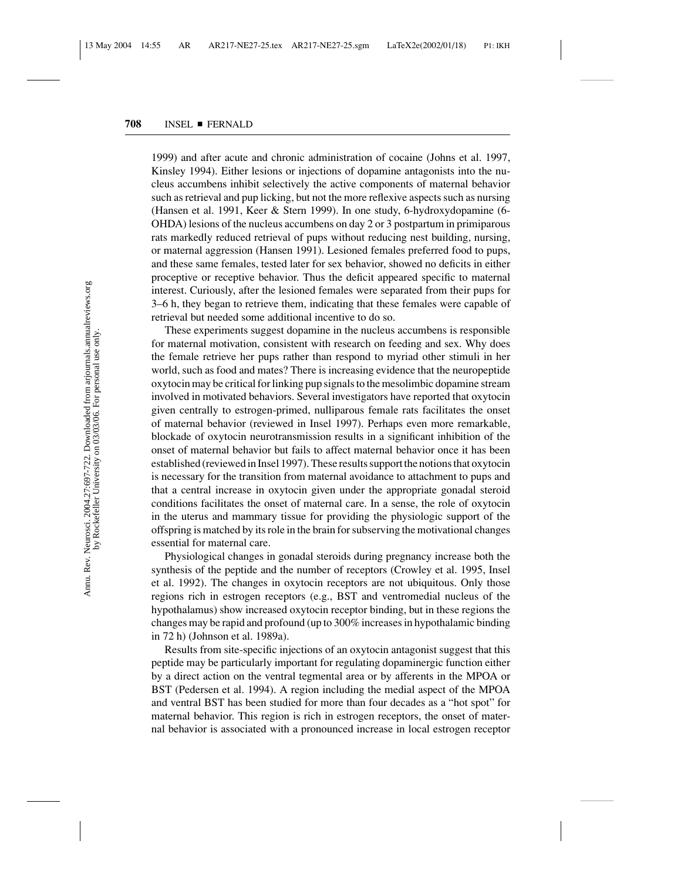1999) and after acute and chronic administration of cocaine (Johns et al. 1997, Kinsley 1994). Either lesions or injections of dopamine antagonists into the nucleus accumbens inhibit selectively the active components of maternal behavior such as retrieval and pup licking, but not the more reflexive aspects such as nursing (Hansen et al. 1991, Keer & Stern 1999). In one study, 6-hydroxydopamine (6- OHDA) lesions of the nucleus accumbens on day 2 or 3 postpartum in primiparous rats markedly reduced retrieval of pups without reducing nest building, nursing, or maternal aggression (Hansen 1991). Lesioned females preferred food to pups, and these same females, tested later for sex behavior, showed no deficits in either proceptive or receptive behavior. Thus the deficit appeared specific to maternal interest. Curiously, after the lesioned females were separated from their pups for 3–6 h, they began to retrieve them, indicating that these females were capable of retrieval but needed some additional incentive to do so.

These experiments suggest dopamine in the nucleus accumbens is responsible for maternal motivation, consistent with research on feeding and sex. Why does the female retrieve her pups rather than respond to myriad other stimuli in her world, such as food and mates? There is increasing evidence that the neuropeptide oxytocin may be critical for linking pup signals to the mesolimbic dopamine stream involved in motivated behaviors. Several investigators have reported that oxytocin given centrally to estrogen-primed, nulliparous female rats facilitates the onset of maternal behavior (reviewed in Insel 1997). Perhaps even more remarkable, blockade of oxytocin neurotransmission results in a significant inhibition of the onset of maternal behavior but fails to affect maternal behavior once it has been established (reviewed in Insel 1997). These results support the notions that oxytocin is necessary for the transition from maternal avoidance to attachment to pups and that a central increase in oxytocin given under the appropriate gonadal steroid conditions facilitates the onset of maternal care. In a sense, the role of oxytocin in the uterus and mammary tissue for providing the physiologic support of the offspring is matched by its role in the brain for subserving the motivational changes essential for maternal care.

Physiological changes in gonadal steroids during pregnancy increase both the synthesis of the peptide and the number of receptors (Crowley et al. 1995, Insel et al. 1992). The changes in oxytocin receptors are not ubiquitous. Only those regions rich in estrogen receptors (e.g., BST and ventromedial nucleus of the hypothalamus) show increased oxytocin receptor binding, but in these regions the changes may be rapid and profound (up to 300% increases in hypothalamic binding in 72 h) (Johnson et al. 1989a).

Results from site-specific injections of an oxytocin antagonist suggest that this peptide may be particularly important for regulating dopaminergic function either by a direct action on the ventral tegmental area or by afferents in the MPOA or BST (Pedersen et al. 1994). A region including the medial aspect of the MPOA and ventral BST has been studied for more than four decades as a "hot spot" for maternal behavior. This region is rich in estrogen receptors, the onset of maternal behavior is associated with a pronounced increase in local estrogen receptor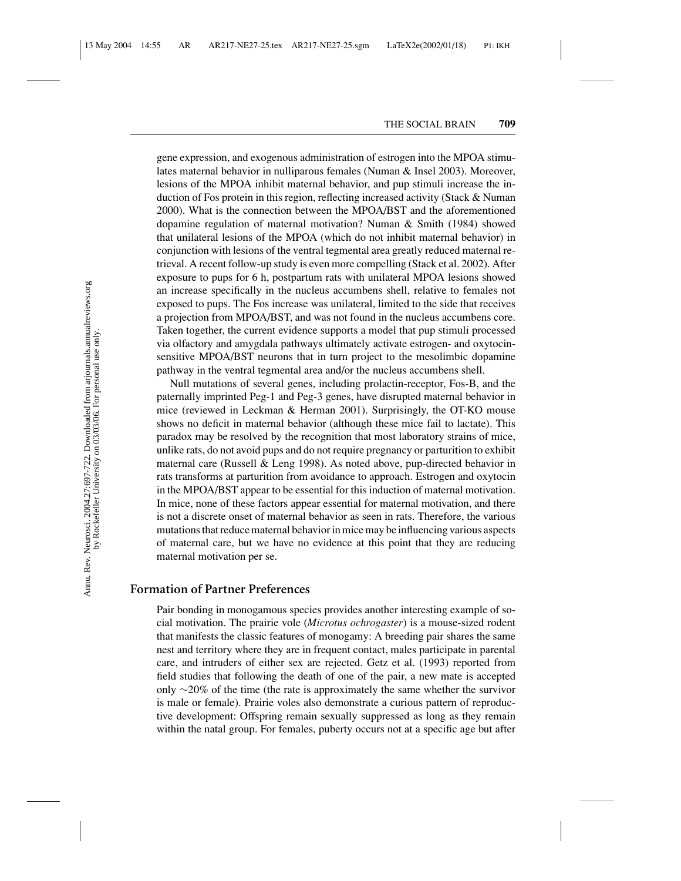gene expression, and exogenous administration of estrogen into the MPOA stimulates maternal behavior in nulliparous females (Numan & Insel 2003). Moreover, lesions of the MPOA inhibit maternal behavior, and pup stimuli increase the induction of Fos protein in this region, reflecting increased activity (Stack & Numan 2000). What is the connection between the MPOA/BST and the aforementioned dopamine regulation of maternal motivation? Numan & Smith (1984) showed that unilateral lesions of the MPOA (which do not inhibit maternal behavior) in conjunction with lesions of the ventral tegmental area greatly reduced maternal retrieval. A recent follow-up study is even more compelling (Stack et al. 2002). After exposure to pups for 6 h, postpartum rats with unilateral MPOA lesions showed an increase specifically in the nucleus accumbens shell, relative to females not exposed to pups. The Fos increase was unilateral, limited to the side that receives a projection from MPOA/BST, and was not found in the nucleus accumbens core. Taken together, the current evidence supports a model that pup stimuli processed via olfactory and amygdala pathways ultimately activate estrogen- and oxytocinsensitive MPOA/BST neurons that in turn project to the mesolimbic dopamine pathway in the ventral tegmental area and/or the nucleus accumbens shell.

Null mutations of several genes, including prolactin-receptor, Fos-B, and the paternally imprinted Peg-1 and Peg-3 genes, have disrupted maternal behavior in mice (reviewed in Leckman & Herman 2001). Surprisingly, the OT-KO mouse shows no deficit in maternal behavior (although these mice fail to lactate). This paradox may be resolved by the recognition that most laboratory strains of mice, unlike rats, do not avoid pups and do not require pregnancy or parturition to exhibit maternal care (Russell & Leng 1998). As noted above, pup-directed behavior in rats transforms at parturition from avoidance to approach. Estrogen and oxytocin in the MPOA/BST appear to be essential for this induction of maternal motivation. In mice, none of these factors appear essential for maternal motivation, and there is not a discrete onset of maternal behavior as seen in rats. Therefore, the various mutations that reduce maternal behavior in mice may be influencing various aspects of maternal care, but we have no evidence at this point that they are reducing maternal motivation per se.

## **Formation of Partner Preferences**

Pair bonding in monogamous species provides another interesting example of social motivation. The prairie vole (*Microtus ochrogaster*) is a mouse-sized rodent that manifests the classic features of monogamy: A breeding pair shares the same nest and territory where they are in frequent contact, males participate in parental care, and intruders of either sex are rejected. Getz et al. (1993) reported from field studies that following the death of one of the pair, a new mate is accepted only ∼20% of the time (the rate is approximately the same whether the survivor is male or female). Prairie voles also demonstrate a curious pattern of reproductive development: Offspring remain sexually suppressed as long as they remain within the natal group. For females, puberty occurs not at a specific age but after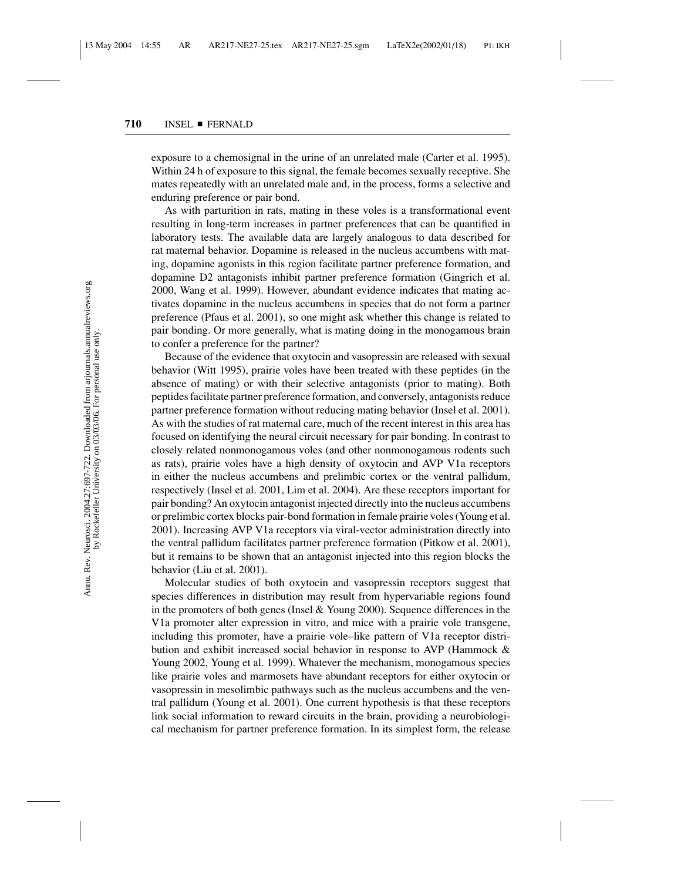exposure to a chemosignal in the urine of an unrelated male (Carter et al. 1995). Within 24 h of exposure to this signal, the female becomes sexually receptive. She mates repeatedly with an unrelated male and, in the process, forms a selective and enduring preference or pair bond.

As with parturition in rats, mating in these voles is a transformational event resulting in long-term increases in partner preferences that can be quantified in laboratory tests. The available data are largely analogous to data described for rat maternal behavior. Dopamine is released in the nucleus accumbens with mating, dopamine agonists in this region facilitate partner preference formation, and dopamine D2 antagonists inhibit partner preference formation (Gingrich et al. 2000, Wang et al. 1999). However, abundant evidence indicates that mating activates dopamine in the nucleus accumbens in species that do not form a partner preference (Pfaus et al. 2001), so one might ask whether this change is related to pair bonding. Or more generally, what is mating doing in the monogamous brain to confer a preference for the partner?

Because of the evidence that oxytocin and vasopressin are released with sexual behavior (Witt 1995), prairie voles have been treated with these peptides (in the absence of mating) or with their selective antagonists (prior to mating). Both peptides facilitate partner preference formation, and conversely, antagonists reduce partner preference formation without reducing mating behavior (Insel et al. 2001). As with the studies of rat maternal care, much of the recent interest in this area has focused on identifying the neural circuit necessary for pair bonding. In contrast to closely related nonmonogamous voles (and other nonmonogamous rodents such as rats), prairie voles have a high density of oxytocin and AVP V1a receptors in either the nucleus accumbens and prelimbic cortex or the ventral pallidum, respectively (Insel et al. 2001, Lim et al. 2004). Are these receptors important for pair bonding? An oxytocin antagonist injected directly into the nucleus accumbens or prelimbic cortex blocks pair-bond formation in female prairie voles (Young et al. 2001). Increasing AVP V1a receptors via viral-vector administration directly into the ventral pallidum facilitates partner preference formation (Pitkow et al. 2001), but it remains to be shown that an antagonist injected into this region blocks the behavior (Liu et al. 2001).

Molecular studies of both oxytocin and vasopressin receptors suggest that species differences in distribution may result from hypervariable regions found in the promoters of both genes (Insel & Young 2000). Sequence differences in the V1a promoter alter expression in vitro, and mice with a prairie vole transgene, including this promoter, have a prairie vole–like pattern of V1a receptor distribution and exhibit increased social behavior in response to AVP (Hammock & Young 2002, Young et al. 1999). Whatever the mechanism, monogamous species like prairie voles and marmosets have abundant receptors for either oxytocin or vasopressin in mesolimbic pathways such as the nucleus accumbens and the ventral pallidum (Young et al. 2001). One current hypothesis is that these receptors link social information to reward circuits in the brain, providing a neurobiological mechanism for partner preference formation. In its simplest form, the release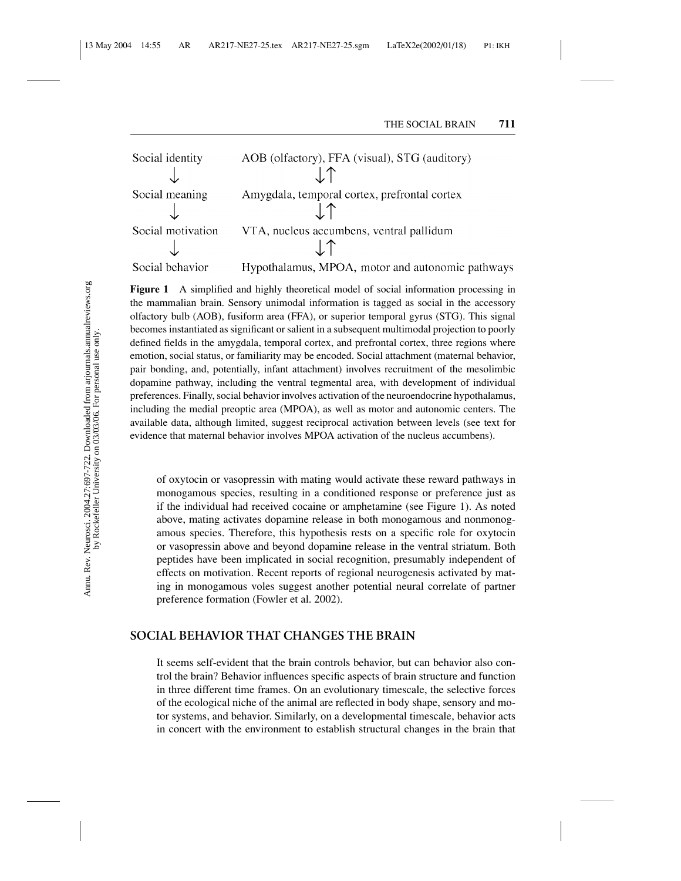

**Figure 1** A simplified and highly theoretical model of social information processing in the mammalian brain. Sensory unimodal information is tagged as social in the accessory olfactory bulb (AOB), fusiform area (FFA), or superior temporal gyrus (STG). This signal becomes instantiated as significant or salient in a subsequent multimodal projection to poorly defined fields in the amygdala, temporal cortex, and prefrontal cortex, three regions where emotion, social status, or familiarity may be encoded. Social attachment (maternal behavior, pair bonding, and, potentially, infant attachment) involves recruitment of the mesolimbic dopamine pathway, including the ventral tegmental area, with development of individual preferences. Finally, social behavior involves activation of the neuroendocrine hypothalamus, including the medial preoptic area (MPOA), as well as motor and autonomic centers. The available data, although limited, suggest reciprocal activation between levels (see text for evidence that maternal behavior involves MPOA activation of the nucleus accumbens).

of oxytocin or vasopressin with mating would activate these reward pathways in monogamous species, resulting in a conditioned response or preference just as if the individual had received cocaine or amphetamine (see Figure 1). As noted above, mating activates dopamine release in both monogamous and nonmonogamous species. Therefore, this hypothesis rests on a specific role for oxytocin or vasopressin above and beyond dopamine release in the ventral striatum. Both peptides have been implicated in social recognition, presumably independent of effects on motivation. Recent reports of regional neurogenesis activated by mating in monogamous voles suggest another potential neural correlate of partner preference formation (Fowler et al. 2002).

## **SOCIAL BEHAVIOR THAT CHANGES THE BRAIN**

It seems self-evident that the brain controls behavior, but can behavior also control the brain? Behavior influences specific aspects of brain structure and function in three different time frames. On an evolutionary timescale, the selective forces of the ecological niche of the animal are reflected in body shape, sensory and motor systems, and behavior. Similarly, on a developmental timescale, behavior acts in concert with the environment to establish structural changes in the brain that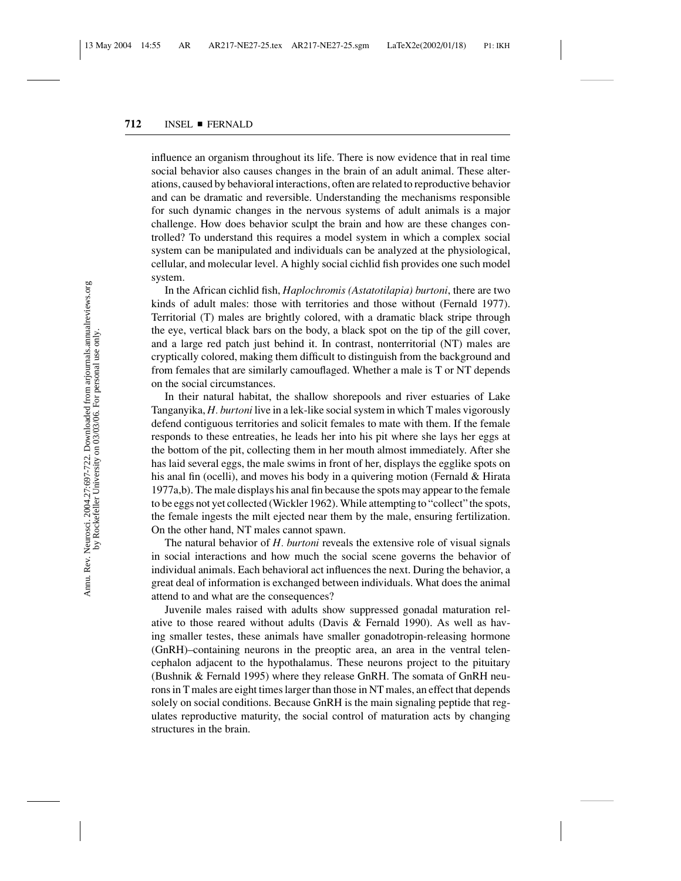influence an organism throughout its life. There is now evidence that in real time social behavior also causes changes in the brain of an adult animal. These alterations, caused by behavioral interactions, often are related to reproductive behavior and can be dramatic and reversible. Understanding the mechanisms responsible for such dynamic changes in the nervous systems of adult animals is a major challenge. How does behavior sculpt the brain and how are these changes controlled? To understand this requires a model system in which a complex social system can be manipulated and individuals can be analyzed at the physiological, cellular, and molecular level. A highly social cichlid fish provides one such model system.

In the African cichlid fish, *Haplochromis (Astatotilapia) burtoni*, there are two kinds of adult males: those with territories and those without (Fernald 1977). Territorial (T) males are brightly colored, with a dramatic black stripe through the eye, vertical black bars on the body, a black spot on the tip of the gill cover, and a large red patch just behind it. In contrast, nonterritorial (NT) males are cryptically colored, making them difficult to distinguish from the background and from females that are similarly camouflaged. Whether a male is T or NT depends on the social circumstances.

In their natural habitat, the shallow shorepools and river estuaries of Lake Tanganyika, *H. burtoni* live in a lek-like social system in which T males vigorously defend contiguous territories and solicit females to mate with them. If the female responds to these entreaties, he leads her into his pit where she lays her eggs at the bottom of the pit, collecting them in her mouth almost immediately. After she has laid several eggs, the male swims in front of her, displays the egglike spots on his anal fin (ocelli), and moves his body in a quivering motion (Fernald & Hirata 1977a,b). The male displays his anal fin because the spots may appear to the female to be eggs not yet collected (Wickler 1962). While attempting to "collect" the spots, the female ingests the milt ejected near them by the male, ensuring fertilization. On the other hand, NT males cannot spawn.

The natural behavior of *H. burtoni* reveals the extensive role of visual signals in social interactions and how much the social scene governs the behavior of individual animals. Each behavioral act influences the next. During the behavior, a great deal of information is exchanged between individuals. What does the animal attend to and what are the consequences?

Juvenile males raised with adults show suppressed gonadal maturation relative to those reared without adults (Davis & Fernald 1990). As well as having smaller testes, these animals have smaller gonadotropin-releasing hormone (GnRH)–containing neurons in the preoptic area, an area in the ventral telencephalon adjacent to the hypothalamus. These neurons project to the pituitary (Bushnik & Fernald 1995) where they release GnRH. The somata of GnRH neurons in T males are eight times larger than those in NT males, an effect that depends solely on social conditions. Because GnRH is the main signaling peptide that regulates reproductive maturity, the social control of maturation acts by changing structures in the brain.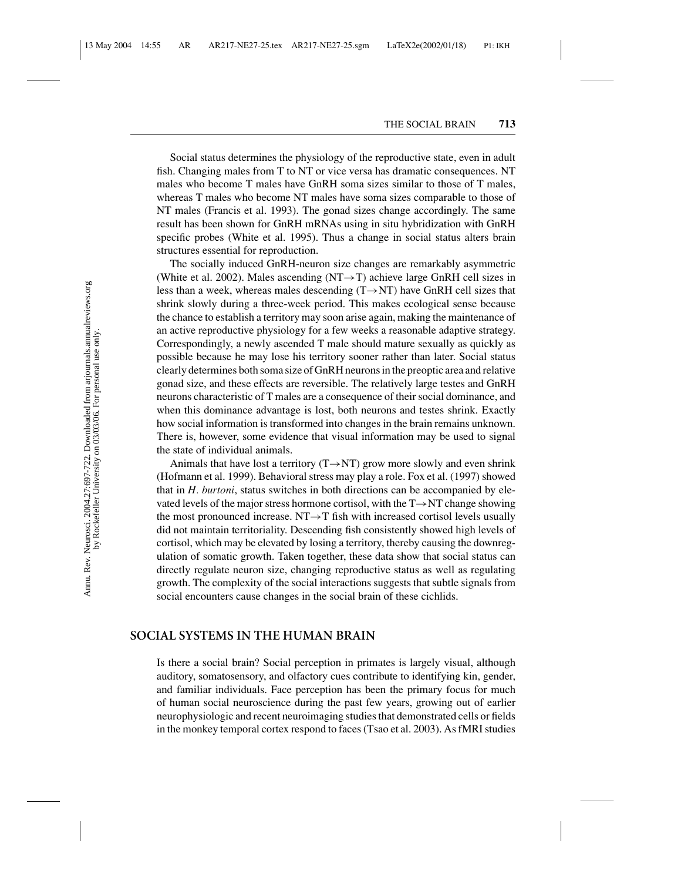Social status determines the physiology of the reproductive state, even in adult fish. Changing males from T to NT or vice versa has dramatic consequences. NT males who become T males have GnRH soma sizes similar to those of T males, whereas T males who become NT males have soma sizes comparable to those of NT males (Francis et al. 1993). The gonad sizes change accordingly. The same result has been shown for GnRH mRNAs using in situ hybridization with GnRH specific probes (White et al. 1995). Thus a change in social status alters brain structures essential for reproduction.

The socially induced GnRH-neuron size changes are remarkably asymmetric (White et al. 2002). Males ascending (NT $\rightarrow$ T) achieve large GnRH cell sizes in less than a week, whereas males descending  $(T \rightarrow NT)$  have GnRH cell sizes that shrink slowly during a three-week period. This makes ecological sense because the chance to establish a territory may soon arise again, making the maintenance of an active reproductive physiology for a few weeks a reasonable adaptive strategy. Correspondingly, a newly ascended T male should mature sexually as quickly as possible because he may lose his territory sooner rather than later. Social status clearly determines both soma size of GnRH neurons in the preoptic area and relative gonad size, and these effects are reversible. The relatively large testes and GnRH neurons characteristic of T males are a consequence of their social dominance, and when this dominance advantage is lost, both neurons and testes shrink. Exactly how social information is transformed into changes in the brain remains unknown. There is, however, some evidence that visual information may be used to signal the state of individual animals.

Animals that have lost a territory  $(T \rightarrow NT)$  grow more slowly and even shrink (Hofmann et al. 1999). Behavioral stress may play a role. Fox et al. (1997) showed that in *H. burtoni*, status switches in both directions can be accompanied by elevated levels of the major stress hormone cortisol, with the  $T \rightarrow NT$  change showing the most pronounced increase.  $NT \rightarrow T$  fish with increased cortisol levels usually did not maintain territoriality. Descending fish consistently showed high levels of cortisol, which may be elevated by losing a territory, thereby causing the downregulation of somatic growth. Taken together, these data show that social status can directly regulate neuron size, changing reproductive status as well as regulating growth. The complexity of the social interactions suggests that subtle signals from social encounters cause changes in the social brain of these cichlids.

## **SOCIAL SYSTEMS IN THE HUMAN BRAIN**

Is there a social brain? Social perception in primates is largely visual, although auditory, somatosensory, and olfactory cues contribute to identifying kin, gender, and familiar individuals. Face perception has been the primary focus for much of human social neuroscience during the past few years, growing out of earlier neurophysiologic and recent neuroimaging studies that demonstrated cells or fields in the monkey temporal cortex respond to faces (Tsao et al. 2003). As fMRI studies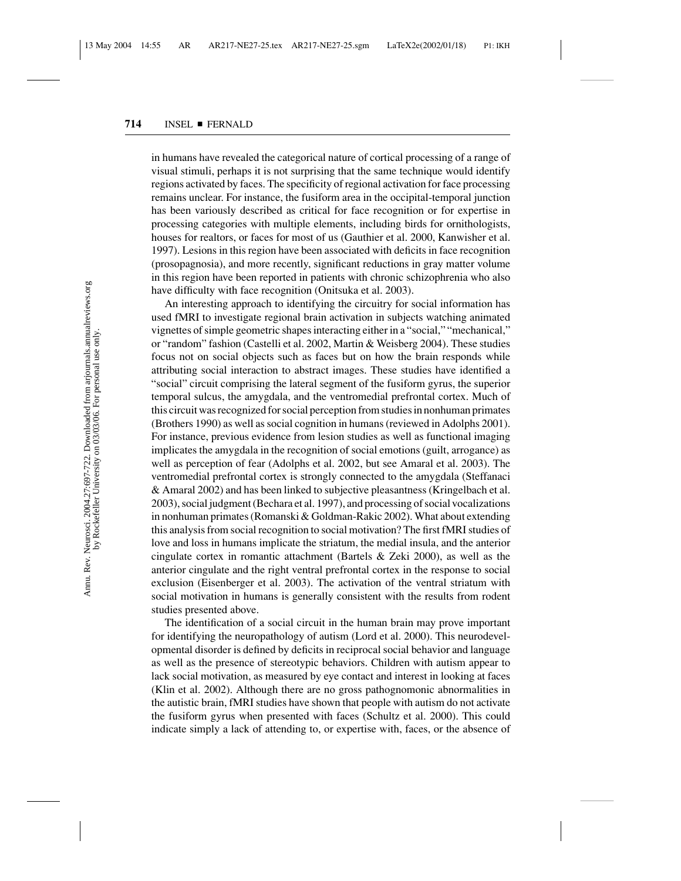in humans have revealed the categorical nature of cortical processing of a range of visual stimuli, perhaps it is not surprising that the same technique would identify regions activated by faces. The specificity of regional activation for face processing remains unclear. For instance, the fusiform area in the occipital-temporal junction has been variously described as critical for face recognition or for expertise in processing categories with multiple elements, including birds for ornithologists, houses for realtors, or faces for most of us (Gauthier et al. 2000, Kanwisher et al. 1997). Lesions in this region have been associated with deficits in face recognition (prosopagnosia), and more recently, significant reductions in gray matter volume in this region have been reported in patients with chronic schizophrenia who also have difficulty with face recognition (Onitsuka et al. 2003).

An interesting approach to identifying the circuitry for social information has used fMRI to investigate regional brain activation in subjects watching animated vignettes of simple geometric shapes interacting either in a "social," "mechanical," or "random" fashion (Castelli et al. 2002, Martin & Weisberg 2004). These studies focus not on social objects such as faces but on how the brain responds while attributing social interaction to abstract images. These studies have identified a "social" circuit comprising the lateral segment of the fusiform gyrus, the superior temporal sulcus, the amygdala, and the ventromedial prefrontal cortex. Much of this circuit was recognized for social perception from studies in nonhuman primates (Brothers 1990) as well as social cognition in humans (reviewed in Adolphs 2001). For instance, previous evidence from lesion studies as well as functional imaging implicates the amygdala in the recognition of social emotions (guilt, arrogance) as well as perception of fear (Adolphs et al. 2002, but see Amaral et al. 2003). The ventromedial prefrontal cortex is strongly connected to the amygdala (Steffanaci & Amaral 2002) and has been linked to subjective pleasantness (Kringelbach et al. 2003), social judgment (Bechara et al. 1997), and processing of social vocalizations in nonhuman primates (Romanski & Goldman-Rakic 2002). What about extending this analysis from social recognition to social motivation? The first fMRI studies of love and loss in humans implicate the striatum, the medial insula, and the anterior cingulate cortex in romantic attachment (Bartels  $\&$  Zeki 2000), as well as the anterior cingulate and the right ventral prefrontal cortex in the response to social exclusion (Eisenberger et al. 2003). The activation of the ventral striatum with social motivation in humans is generally consistent with the results from rodent studies presented above.

The identification of a social circuit in the human brain may prove important for identifying the neuropathology of autism (Lord et al. 2000). This neurodevelopmental disorder is defined by deficits in reciprocal social behavior and language as well as the presence of stereotypic behaviors. Children with autism appear to lack social motivation, as measured by eye contact and interest in looking at faces (Klin et al. 2002). Although there are no gross pathognomonic abnormalities in the autistic brain, fMRI studies have shown that people with autism do not activate the fusiform gyrus when presented with faces (Schultz et al. 2000). This could indicate simply a lack of attending to, or expertise with, faces, or the absence of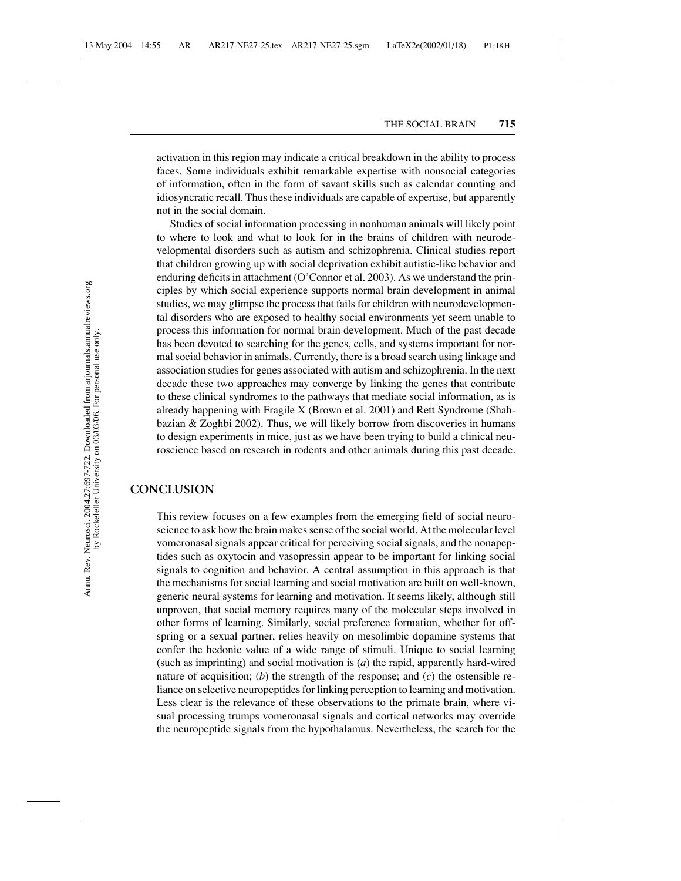activation in this region may indicate a critical breakdown in the ability to process faces. Some individuals exhibit remarkable expertise with nonsocial categories of information, often in the form of savant skills such as calendar counting and idiosyncratic recall. Thus these individuals are capable of expertise, but apparently not in the social domain.

Studies of social information processing in nonhuman animals will likely point to where to look and what to look for in the brains of children with neurodevelopmental disorders such as autism and schizophrenia. Clinical studies report that children growing up with social deprivation exhibit autistic-like behavior and enduring deficits in attachment (O'Connor et al. 2003). As we understand the principles by which social experience supports normal brain development in animal studies, we may glimpse the process that fails for children with neurodevelopmental disorders who are exposed to healthy social environments yet seem unable to process this information for normal brain development. Much of the past decade has been devoted to searching for the genes, cells, and systems important for normal social behavior in animals. Currently, there is a broad search using linkage and association studies for genes associated with autism and schizophrenia. In the next decade these two approaches may converge by linking the genes that contribute to these clinical syndromes to the pathways that mediate social information, as is already happening with Fragile X (Brown et al. 2001) and Rett Syndrome (Shahbazian & Zoghbi 2002). Thus, we will likely borrow from discoveries in humans to design experiments in mice, just as we have been trying to build a clinical neuroscience based on research in rodents and other animals during this past decade.

## **CONCLUSION**

This review focuses on a few examples from the emerging field of social neuroscience to ask how the brain makes sense of the social world. At the molecular level vomeronasal signals appear critical for perceiving social signals, and the nonapeptides such as oxytocin and vasopressin appear to be important for linking social signals to cognition and behavior. A central assumption in this approach is that the mechanisms for social learning and social motivation are built on well-known, generic neural systems for learning and motivation. It seems likely, although still unproven, that social memory requires many of the molecular steps involved in other forms of learning. Similarly, social preference formation, whether for offspring or a sexual partner, relies heavily on mesolimbic dopamine systems that confer the hedonic value of a wide range of stimuli. Unique to social learning (such as imprinting) and social motivation is (*a*) the rapid, apparently hard-wired nature of acquisition; (*b*) the strength of the response; and (*c*) the ostensible reliance on selective neuropeptides for linking perception to learning and motivation. Less clear is the relevance of these observations to the primate brain, where visual processing trumps vomeronasal signals and cortical networks may override the neuropeptide signals from the hypothalamus. Nevertheless, the search for the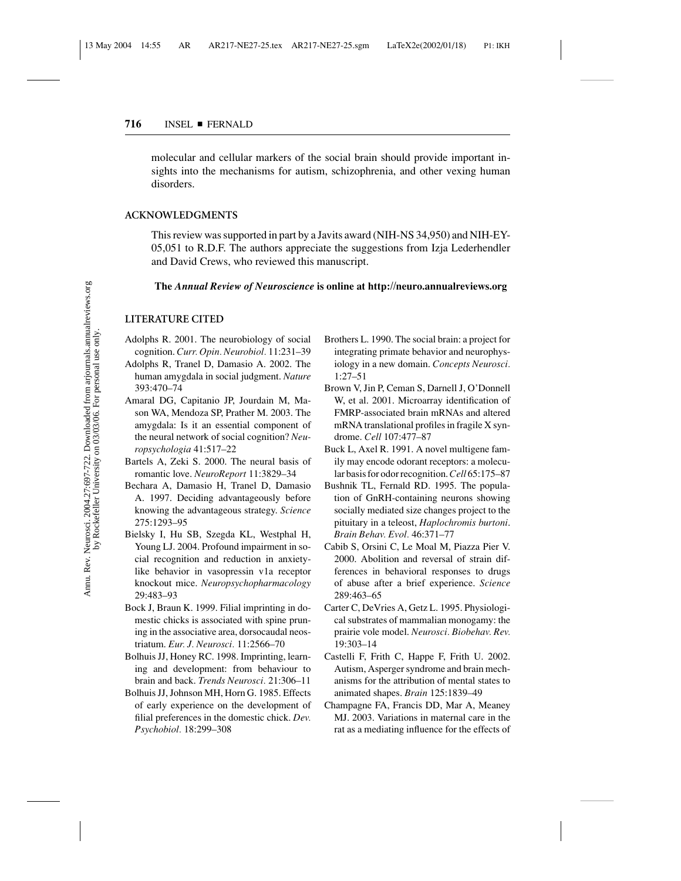molecular and cellular markers of the social brain should provide important insights into the mechanisms for autism, schizophrenia, and other vexing human disorders.

#### **ACKNOWLEDGMENTS**

This review was supported in part by a Javits award (NIH-NS 34,950) and NIH-EY-05,051 to R.D.F. The authors appreciate the suggestions from Izja Lederhendler and David Crews, who reviewed this manuscript.

#### **The** *Annual Review of Neuroscience* **is online at http://neuro.annualreviews.org**

#### **LITERATURE CITED**

- Adolphs R. 2001. The neurobiology of social cognition. *Curr. Opin. Neurobiol.* 11:231–39
- Adolphs R, Tranel D, Damasio A. 2002. The human amygdala in social judgment. *Nature* 393:470–74
- Amaral DG, Capitanio JP, Jourdain M, Mason WA, Mendoza SP, Prather M. 2003. The amygdala: Is it an essential component of the neural network of social cognition? *Neuropsychologia* 41:517–22
- Bartels A, Zeki S. 2000. The neural basis of romantic love. *NeuroReport* 11:3829–34
- Bechara A, Damasio H, Tranel D, Damasio A. 1997. Deciding advantageously before knowing the advantageous strategy. *Science* 275:1293–95
- Bielsky I, Hu SB, Szegda KL, Westphal H, Young LJ. 2004. Profound impairment in social recognition and reduction in anxietylike behavior in vasopressin v1a receptor knockout mice. *Neuropsychopharmacology* 29:483–93
- Bock J, Braun K. 1999. Filial imprinting in domestic chicks is associated with spine pruning in the associative area, dorsocaudal neostriatum. *Eur. J. Neurosci.* 11:2566–70
- Bolhuis JJ, Honey RC. 1998. Imprinting, learning and development: from behaviour to brain and back. *Trends Neurosci.* 21:306–11
- Bolhuis JJ, Johnson MH, Horn G. 1985. Effects of early experience on the development of filial preferences in the domestic chick. *Dev. Psychobiol.* 18:299–308
- Brothers L. 1990. The social brain: a project for integrating primate behavior and neurophysiology in a new domain. *Concepts Neurosci.* 1:27–51
- Brown V, Jin P, Ceman S, Darnell J, O'Donnell W, et al. 2001. Microarray identification of FMRP-associated brain mRNAs and altered mRNA translational profiles in fragile X syndrome. *Cell* 107:477–87
- Buck L, Axel R. 1991. A novel multigene family may encode odorant receptors: a molecular basis for odor recognition.*Cell* 65:175–87
- Bushnik TL, Fernald RD. 1995. The population of GnRH-containing neurons showing socially mediated size changes project to the pituitary in a teleost, *Haplochromis burtoni*. *Brain Behav. Evol.* 46:371–77
- Cabib S, Orsini C, Le Moal M, Piazza Pier V. 2000. Abolition and reversal of strain differences in behavioral responses to drugs of abuse after a brief experience. *Science* 289:463–65
- Carter C, DeVries A, Getz L. 1995. Physiological substrates of mammalian monogamy: the prairie vole model. *Neurosci. Biobehav. Rev.* 19:303–14
- Castelli F, Frith C, Happe F, Frith U. 2002. Autism, Asperger syndrome and brain mechanisms for the attribution of mental states to animated shapes. *Brain* 125:1839–49
- Champagne FA, Francis DD, Mar A, Meaney MJ. 2003. Variations in maternal care in the rat as a mediating influence for the effects of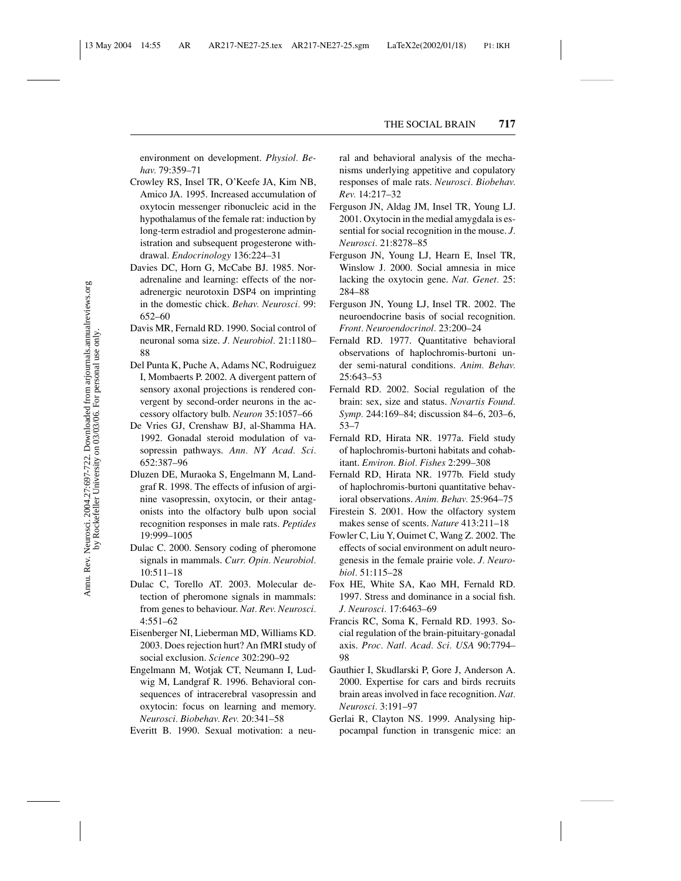environment on development. *Physiol. Behav.* 79:359–71

- Crowley RS, Insel TR, O'Keefe JA, Kim NB, Amico JA. 1995. Increased accumulation of oxytocin messenger ribonucleic acid in the hypothalamus of the female rat: induction by long-term estradiol and progesterone administration and subsequent progesterone withdrawal. *Endocrinology* 136:224–31
- Davies DC, Horn G, McCabe BJ. 1985. Noradrenaline and learning: effects of the noradrenergic neurotoxin DSP4 on imprinting in the domestic chick. *Behav. Neurosci.* 99: 652–60
- Davis MR, Fernald RD. 1990. Social control of neuronal soma size. *J. Neurobiol.* 21:1180– 88
- Del Punta K, Puche A, Adams NC, Rodruiguez I, Mombaerts P. 2002. A divergent pattern of sensory axonal projections is rendered convergent by second-order neurons in the accessory olfactory bulb. *Neuron* 35:1057–66
- De Vries GJ, Crenshaw BJ, al-Shamma HA. 1992. Gonadal steroid modulation of vasopressin pathways. *Ann. NY Acad. Sci.* 652:387–96
- Dluzen DE, Muraoka S, Engelmann M, Landgraf R. 1998. The effects of infusion of arginine vasopressin, oxytocin, or their antagonists into the olfactory bulb upon social recognition responses in male rats. *Peptides* 19:999–1005
- Dulac C. 2000. Sensory coding of pheromone signals in mammals. *Curr. Opin. Neurobiol.* 10:511–18
- Dulac C, Torello AT. 2003. Molecular detection of pheromone signals in mammals: from genes to behaviour. *Nat. Rev. Neurosci.* 4:551–62
- Eisenberger NI, Lieberman MD, Williams KD. 2003. Does rejection hurt? An fMRI study of social exclusion. *Science* 302:290–92
- Engelmann M, Wotjak CT, Neumann I, Ludwig M, Landgraf R. 1996. Behavioral consequences of intracerebral vasopressin and oxytocin: focus on learning and memory. *Neurosci. Biobehav. Rev.* 20:341–58
- Everitt B. 1990. Sexual motivation: a neu-

ral and behavioral analysis of the mechanisms underlying appetitive and copulatory responses of male rats. *Neurosci. Biobehav. Rev.* 14:217–32

- Ferguson JN, Aldag JM, Insel TR, Young LJ. 2001. Oxytocin in the medial amygdala is essential for social recognition in the mouse. *J. Neurosci.* 21:8278–85
- Ferguson JN, Young LJ, Hearn E, Insel TR, Winslow J. 2000. Social amnesia in mice lacking the oxytocin gene. *Nat. Genet.* 25: 284–88
- Ferguson JN, Young LJ, Insel TR. 2002. The neuroendocrine basis of social recognition. *Front. Neuroendocrinol.* 23:200–24
- Fernald RD. 1977. Quantitative behavioral observations of haplochromis-burtoni under semi-natural conditions. *Anim. Behav.* 25:643–53
- Fernald RD. 2002. Social regulation of the brain: sex, size and status. *Novartis Found. Symp.* 244:169–84; discussion 84–6, 203–6, 53–7
- Fernald RD, Hirata NR. 1977a. Field study of haplochromis-burtoni habitats and cohabitant. *Environ. Biol. Fishes* 2:299–308
- Fernald RD, Hirata NR. 1977b. Field study of haplochromis-burtoni quantitative behavioral observations. *Anim. Behav.* 25:964–75
- Firestein S. 2001. How the olfactory system makes sense of scents. *Nature* 413:211–18
- Fowler C, Liu Y, Ouimet C, Wang Z. 2002. The effects of social environment on adult neurogenesis in the female prairie vole. *J. Neurobiol.* 51:115–28
- Fox HE, White SA, Kao MH, Fernald RD. 1997. Stress and dominance in a social fish. *J. Neurosci.* 17:6463–69
- Francis RC, Soma K, Fernald RD. 1993. Social regulation of the brain-pituitary-gonadal axis. *Proc. Natl. Acad. Sci. USA* 90:7794– 98
- Gauthier I, Skudlarski P, Gore J, Anderson A. 2000. Expertise for cars and birds recruits brain areas involved in face recognition. *Nat. Neurosci.* 3:191–97
- Gerlai R, Clayton NS. 1999. Analysing hippocampal function in transgenic mice: an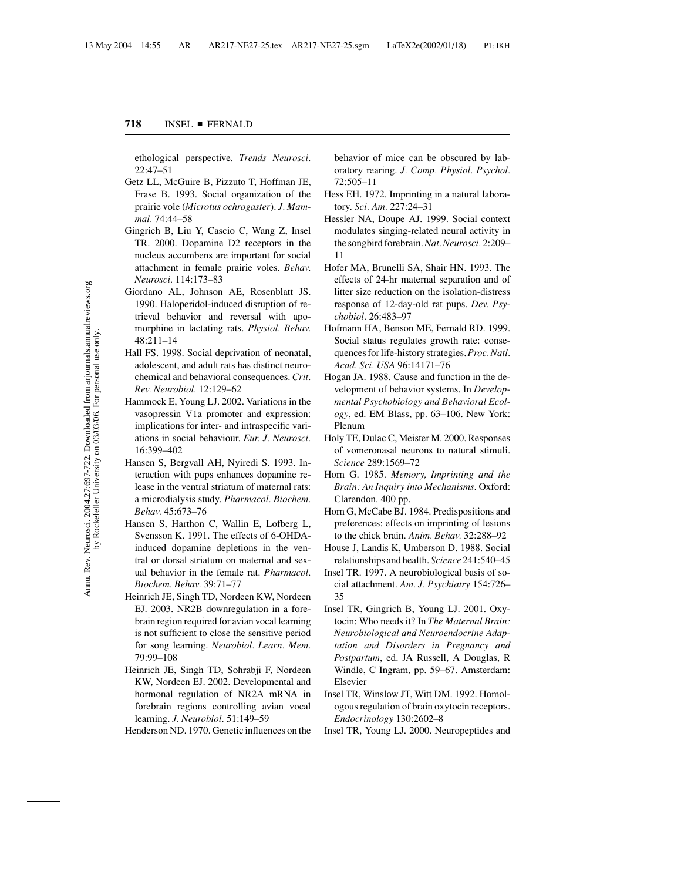ethological perspective. *Trends Neurosci.* 22:47–51

- Getz LL, McGuire B, Pizzuto T, Hoffman JE, Frase B. 1993. Social organization of the prairie vole (*Microtus ochrogaster*). *J. Mammal.* 74:44–58
- Gingrich B, Liu Y, Cascio C, Wang Z, Insel TR. 2000. Dopamine D2 receptors in the nucleus accumbens are important for social attachment in female prairie voles. *Behav. Neurosci.* 114:173–83
- Giordano AL, Johnson AE, Rosenblatt JS. 1990. Haloperidol-induced disruption of retrieval behavior and reversal with apomorphine in lactating rats. *Physiol. Behav.* 48:211–14
- Hall FS. 1998. Social deprivation of neonatal, adolescent, and adult rats has distinct neurochemical and behavioral consequences. *Crit. Rev. Neurobiol.* 12:129–62
- Hammock E, Young LJ. 2002. Variations in the vasopressin V1a promoter and expression: implications for inter- and intraspecific variations in social behaviour. *Eur. J. Neurosci.* 16:399–402
- Hansen S, Bergvall AH, Nyiredi S. 1993. Interaction with pups enhances dopamine release in the ventral striatum of maternal rats: a microdialysis study. *Pharmacol. Biochem. Behav.* 45:673–76
- Hansen S, Harthon C, Wallin E, Lofberg L, Svensson K. 1991. The effects of 6-OHDAinduced dopamine depletions in the ventral or dorsal striatum on maternal and sexual behavior in the female rat. *Pharmacol. Biochem. Behav.* 39:71–77
- Heinrich JE, Singh TD, Nordeen KW, Nordeen EJ. 2003. NR2B downregulation in a forebrain region required for avian vocal learning is not sufficient to close the sensitive period for song learning. *Neurobiol. Learn. Mem.* 79:99–108
- Heinrich JE, Singh TD, Sohrabji F, Nordeen KW, Nordeen EJ. 2002. Developmental and hormonal regulation of NR2A mRNA in forebrain regions controlling avian vocal learning. *J. Neurobiol.* 51:149–59
- Henderson ND. 1970. Genetic influences on the

behavior of mice can be obscured by laboratory rearing. *J. Comp. Physiol. Psychol.* 72:505–11

- Hess EH. 1972. Imprinting in a natural laboratory. *Sci. Am.* 227:24–31
- Hessler NA, Doupe AJ. 1999. Social context modulates singing-related neural activity in the songbird forebrain.*Nat. Neurosci.* 2:209– 11
- Hofer MA, Brunelli SA, Shair HN. 1993. The effects of 24-hr maternal separation and of litter size reduction on the isolation-distress response of 12-day-old rat pups. *Dev. Psychobiol.* 26:483–97
- Hofmann HA, Benson ME, Fernald RD. 1999. Social status regulates growth rate: consequences for life-history strategies.*Proc. Natl. Acad. Sci. USA* 96:14171–76
- Hogan JA. 1988. Cause and function in the development of behavior systems. In *Developmental Psychobiology and Behavioral Ecology*, ed. EM Blass, pp. 63–106. New York: Plenum
- Holy TE, Dulac C, Meister M. 2000. Responses of vomeronasal neurons to natural stimuli. *Science* 289:1569–72
- Horn G. 1985. *Memory, Imprinting and the Brain: An Inquiry into Mechanisms*. Oxford: Clarendon. 400 pp.
- Horn G, McCabe BJ. 1984. Predispositions and preferences: effects on imprinting of lesions to the chick brain. *Anim. Behav.* 32:288–92
- House J, Landis K, Umberson D. 1988. Social relationships and health. *Science* 241:540–45
- Insel TR. 1997. A neurobiological basis of social attachment. *Am. J. Psychiatry* 154:726– 35
- Insel TR, Gingrich B, Young LJ. 2001. Oxytocin: Who needs it? In *The Maternal Brain: Neurobiological and Neuroendocrine Adaptation and Disorders in Pregnancy and Postpartum*, ed. JA Russell, A Douglas, R Windle, C Ingram, pp. 59–67. Amsterdam: Elsevier
- Insel TR, Winslow JT, Witt DM. 1992. Homologous regulation of brain oxytocin receptors. *Endocrinology* 130:2602–8
- Insel TR, Young LJ. 2000. Neuropeptides and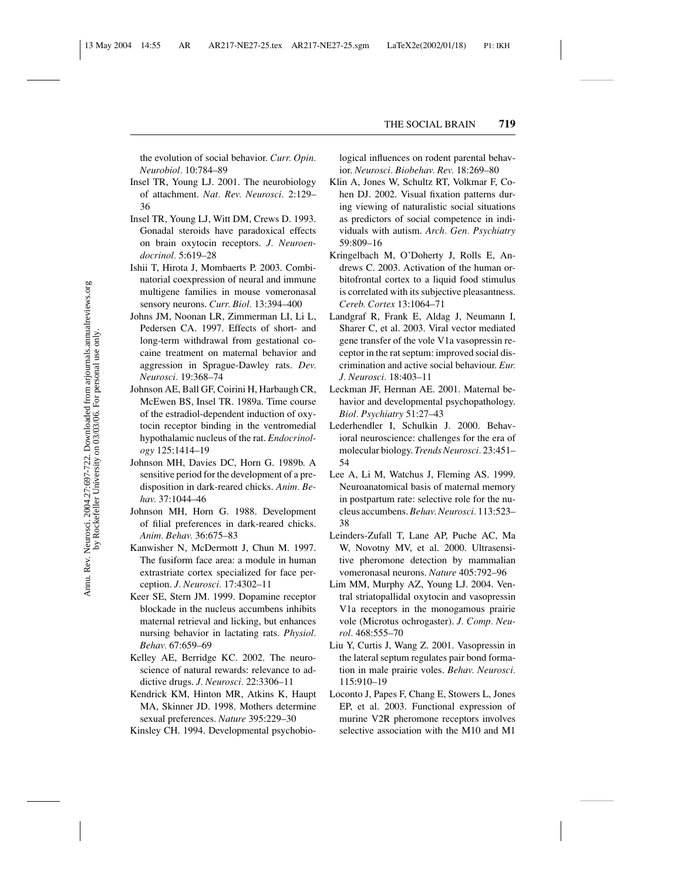the evolution of social behavior. *Curr. Opin. Neurobiol.* 10:784–89

- Insel TR, Young LJ. 2001. The neurobiology of attachment. *Nat. Rev. Neurosci.* 2:129– 36
- Insel TR, Young LJ, Witt DM, Crews D. 1993. Gonadal steroids have paradoxical effects on brain oxytocin receptors. *J. Neuroendocrinol.* 5:619–28
- Ishii T, Hirota J, Mombaerts P. 2003. Combinatorial coexpression of neural and immune multigene families in mouse vomeronasal sensory neurons. *Curr. Biol.* 13:394–400
- Johns JM, Noonan LR, Zimmerman LI, Li L, Pedersen CA. 1997. Effects of short- and long-term withdrawal from gestational cocaine treatment on maternal behavior and aggression in Sprague-Dawley rats. *Dev. Neurosci.* 19:368–74
- Johnson AE, Ball GF, Coirini H, Harbaugh CR, McEwen BS, Insel TR. 1989a. Time course of the estradiol-dependent induction of oxytocin receptor binding in the ventromedial hypothalamic nucleus of the rat. *Endocrinology* 125:1414–19
- Johnson MH, Davies DC, Horn G. 1989b. A sensitive period for the development of a predisposition in dark-reared chicks. *Anim. Behav.* 37:1044–46
- Johnson MH, Horn G. 1988. Development of filial preferences in dark-reared chicks. *Anim. Behav.* 36:675–83
- Kanwisher N, McDermott J, Chun M. 1997. The fusiform face area: a module in human extrastriate cortex specialized for face perception. *J. Neurosci.* 17:4302–11
- Keer SE, Stern JM. 1999. Dopamine receptor blockade in the nucleus accumbens inhibits maternal retrieval and licking, but enhances nursing behavior in lactating rats. *Physiol. Behav.* 67:659–69
- Kelley AE, Berridge KC. 2002. The neuroscience of natural rewards: relevance to addictive drugs. *J. Neurosci.* 22:3306–11
- Kendrick KM, Hinton MR, Atkins K, Haupt MA, Skinner JD. 1998. Mothers determine sexual preferences. *Nature* 395:229–30
- Kinsley CH. 1994. Developmental psychobio-

logical influences on rodent parental behavior. *Neurosci. Biobehav. Rev.* 18:269–80

- Klin A, Jones W, Schultz RT, Volkmar F, Cohen DJ. 2002. Visual fixation patterns during viewing of naturalistic social situations as predictors of social competence in individuals with autism. *Arch. Gen. Psychiatry* 59:809–16
- Kringelbach M, O'Doherty J, Rolls E, Andrews C. 2003. Activation of the human orbitofrontal cortex to a liquid food stimulus is correlated with its subjective pleasantness. *Cereb. Cortex* 13:1064–71
- Landgraf R, Frank E, Aldag J, Neumann I, Sharer C, et al. 2003. Viral vector mediated gene transfer of the vole V1a vasopressin receptor in the rat septum: improved social discrimination and active social behaviour. *Eur. J. Neurosci.* 18:403–11
- Leckman JF, Herman AE. 2001. Maternal behavior and developmental psychopathology. *Biol. Psychiatry* 51:27–43
- Lederhendler I, Schulkin J. 2000. Behavioral neuroscience: challenges for the era of molecular biology. *Trends Neurosci.* 23:451– 54
- Lee A, Li M, Watchus J, Fleming AS. 1999. Neuroanatomical basis of maternal memory in postpartum rate: selective role for the nucleus accumbens. *Behav. Neurosci.* 113:523– 38
- Leinders-Zufall T, Lane AP, Puche AC, Ma W, Novotny MV, et al. 2000. Ultrasensitive pheromone detection by mammalian vomeronasal neurons. *Nature* 405:792–96
- Lim MM, Murphy AZ, Young LJ. 2004. Ventral striatopallidal oxytocin and vasopressin V1a receptors in the monogamous prairie vole (Microtus ochrogaster). *J. Comp. Neurol.* 468:555–70
- Liu Y, Curtis J, Wang Z. 2001. Vasopressin in the lateral septum regulates pair bond formation in male prairie voles. *Behav. Neurosci.* 115:910–19
- Loconto J, Papes F, Chang E, Stowers L, Jones EP, et al. 2003. Functional expression of murine V2R pheromone receptors involves selective association with the M10 and M1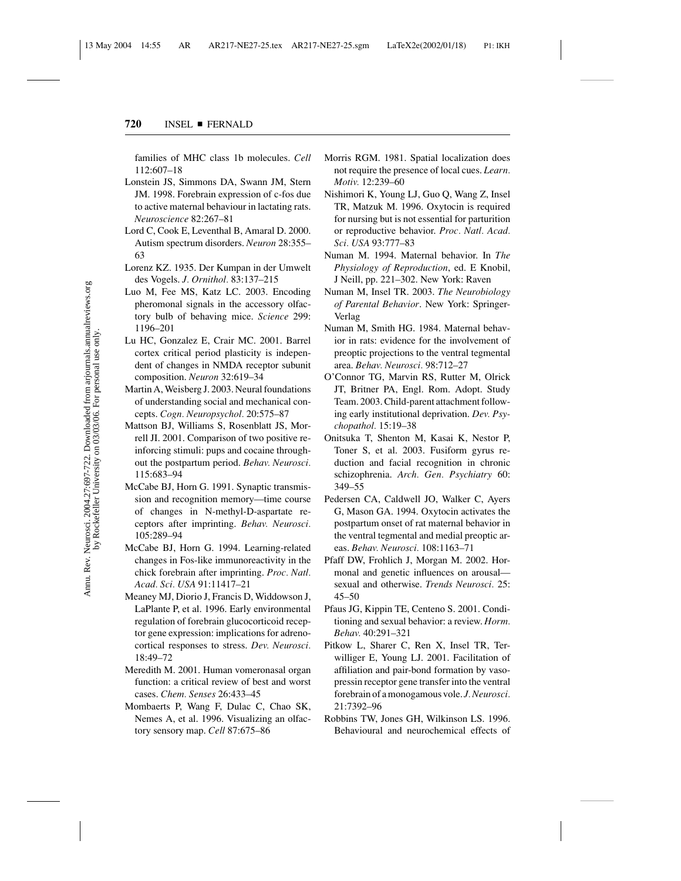families of MHC class 1b molecules. *Cell* 112:607–18

- Lonstein JS, Simmons DA, Swann JM, Stern JM. 1998. Forebrain expression of c-fos due to active maternal behaviour in lactating rats. *Neuroscience* 82:267–81
- Lord C, Cook E, Leventhal B, Amaral D. 2000. Autism spectrum disorders. *Neuron* 28:355– 63
- Lorenz KZ. 1935. Der Kumpan in der Umwelt des Vogels. *J. Ornithol.* 83:137–215
- Luo M, Fee MS, Katz LC. 2003. Encoding pheromonal signals in the accessory olfactory bulb of behaving mice. *Science* 299: 1196–201
- Lu HC, Gonzalez E, Crair MC. 2001. Barrel cortex critical period plasticity is independent of changes in NMDA receptor subunit composition. *Neuron* 32:619–34
- Martin A, Weisberg J. 2003. Neural foundations of understanding social and mechanical concepts. *Cogn. Neuropsychol.* 20:575–87
- Mattson BJ, Williams S, Rosenblatt JS, Morrell JI. 2001. Comparison of two positive reinforcing stimuli: pups and cocaine throughout the postpartum period. *Behav. Neurosci.* 115:683–94
- McCabe BJ, Horn G. 1991. Synaptic transmission and recognition memory—time course of changes in N-methyl-D-aspartate receptors after imprinting. *Behav. Neurosci.* 105:289–94
- McCabe BJ, Horn G. 1994. Learning-related changes in Fos-like immunoreactivity in the chick forebrain after imprinting. *Proc. Natl. Acad. Sci. USA* 91:11417–21
- Meaney MJ, Diorio J, Francis D, Widdowson J, LaPlante P, et al. 1996. Early environmental regulation of forebrain glucocorticoid receptor gene expression: implications for adrenocortical responses to stress. *Dev. Neurosci.* 18:49–72
- Meredith M. 2001. Human vomeronasal organ function: a critical review of best and worst cases. *Chem. Senses* 26:433–45
- Mombaerts P, Wang F, Dulac C, Chao SK, Nemes A, et al. 1996. Visualizing an olfactory sensory map. *Cell* 87:675–86
- Morris RGM. 1981. Spatial localization does not require the presence of local cues. *Learn. Motiv.* 12:239–60
- Nishimori K, Young LJ, Guo Q, Wang Z, Insel TR, Matzuk M. 1996. Oxytocin is required for nursing but is not essential for parturition or reproductive behavior. *Proc. Natl. Acad. Sci. USA* 93:777–83
- Numan M. 1994. Maternal behavior. In *The Physiology of Reproduction*, ed. E Knobil, J Neill, pp. 221–302. New York: Raven
- Numan M, Insel TR. 2003. *The Neurobiology of Parental Behavior*. New York: Springer-Verlag
- Numan M, Smith HG. 1984. Maternal behavior in rats: evidence for the involvement of preoptic projections to the ventral tegmental area. *Behav. Neurosci.* 98:712–27
- O'Connor TG, Marvin RS, Rutter M, Olrick JT, Britner PA, Engl. Rom. Adopt. Study Team. 2003. Child-parent attachment following early institutional deprivation. *Dev. Psychopathol.* 15:19–38
- Onitsuka T, Shenton M, Kasai K, Nestor P, Toner S, et al. 2003. Fusiform gyrus reduction and facial recognition in chronic schizophrenia. *Arch. Gen. Psychiatry* 60: 349–55
- Pedersen CA, Caldwell JO, Walker C, Ayers G, Mason GA. 1994. Oxytocin activates the postpartum onset of rat maternal behavior in the ventral tegmental and medial preoptic areas. *Behav. Neurosci.* 108:1163–71
- Pfaff DW, Frohlich J, Morgan M. 2002. Hormonal and genetic influences on arousal sexual and otherwise. *Trends Neurosci.* 25: 45–50
- Pfaus JG, Kippin TE, Centeno S. 2001. Conditioning and sexual behavior: a review. *Horm. Behav.* 40:291–321
- Pitkow L, Sharer C, Ren X, Insel TR, Terwilliger E, Young LJ. 2001. Facilitation of affiliation and pair-bond formation by vasopressin receptor gene transfer into the ventral forebrain of a monogamous vole. *J. Neurosci.* 21:7392–96
- Robbins TW, Jones GH, Wilkinson LS. 1996. Behavioural and neurochemical effects of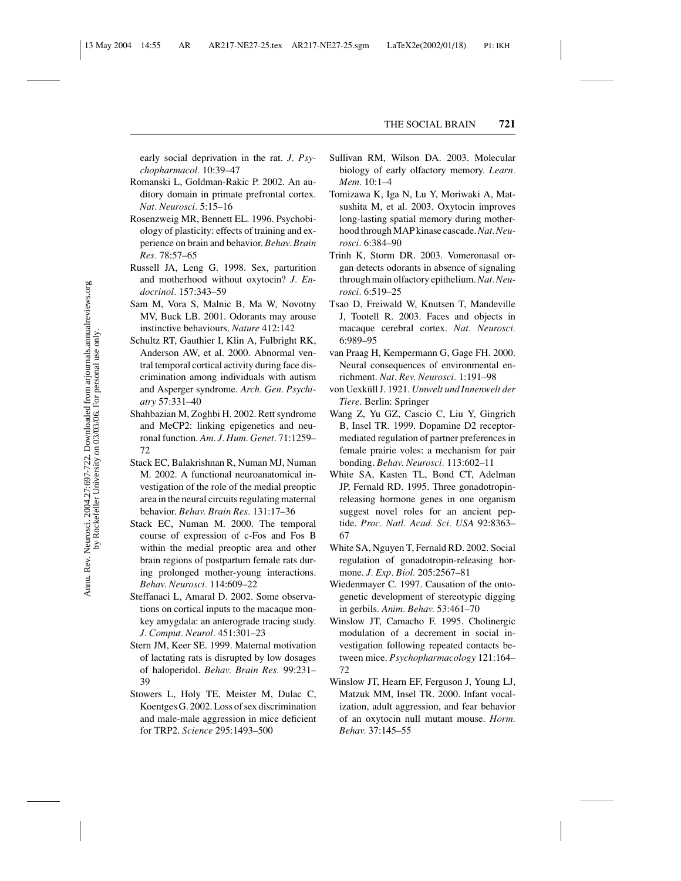early social deprivation in the rat. *J. Psychopharmacol.* 10:39–47

- Romanski L, Goldman-Rakic P. 2002. An auditory domain in primate prefrontal cortex. *Nat. Neurosci.* 5:15–16
- Rosenzweig MR, Bennett EL. 1996. Psychobiology of plasticity: effects of training and experience on brain and behavior. *Behav. Brain Res.* 78:57–65
- Russell JA, Leng G. 1998. Sex, parturition and motherhood without oxytocin? *J. Endocrinol.* 157:343–59
- Sam M, Vora S, Malnic B, Ma W, Novotny MV, Buck LB. 2001. Odorants may arouse instinctive behaviours. *Nature* 412:142
- Schultz RT, Gauthier I, Klin A, Fulbright RK, Anderson AW, et al. 2000. Abnormal ventral temporal cortical activity during face discrimination among individuals with autism and Asperger syndrome. *Arch. Gen. Psychiatry* 57:331–40
- Shahbazian M, Zoghbi H. 2002. Rett syndrome and MeCP2: linking epigenetics and neuronal function. *Am. J. Hum. Genet.* 71:1259– 72
- Stack EC, Balakrishnan R, Numan MJ, Numan M. 2002. A functional neuroanatomical investigation of the role of the medial preoptic area in the neural circuits regulating maternal behavior. *Behav. Brain Res.* 131:17–36
- Stack EC, Numan M. 2000. The temporal course of expression of c-Fos and Fos B within the medial preoptic area and other brain regions of postpartum female rats during prolonged mother-young interactions. *Behav. Neurosci.* 114:609–22
- Steffanaci L, Amaral D. 2002. Some observations on cortical inputs to the macaque monkey amygdala: an anterograde tracing study. *J. Comput. Neurol.* 451:301–23
- Stern JM, Keer SE. 1999. Maternal motivation of lactating rats is disrupted by low dosages of haloperidol. *Behav. Brain Res.* 99:231– 39
- Stowers L, Holy TE, Meister M, Dulac C, Koentges G. 2002. Loss of sex discrimination and male-male aggression in mice deficient for TRP2. *Science* 295:1493–500
- Sullivan RM, Wilson DA. 2003. Molecular biology of early olfactory memory. *Learn. Mem.* 10:1–4
- Tomizawa K, Iga N, Lu Y, Moriwaki A, Matsushita M, et al. 2003. Oxytocin improves long-lasting spatial memory during motherhood through MAP kinase cascade.*Nat. Neurosci.* 6:384–90
- Trinh K, Storm DR. 2003. Vomeronasal organ detects odorants in absence of signaling through main olfactory epithelium.*Nat. Neurosci.* 6:519–25
- Tsao D, Freiwald W, Knutsen T, Mandeville J, Tootell R. 2003. Faces and objects in macaque cerebral cortex. *Nat. Neurosci.* 6:989–95
- van Praag H, Kempermann G, Gage FH. 2000. Neural consequences of environmental enrichment. *Nat. Rev. Neurosci.* 1:191–98
- von Uexküll J. 1921. Umwelt und Innenwelt der *Tiere*. Berlin: Springer
- Wang Z, Yu GZ, Cascio C, Liu Y, Gingrich B, Insel TR. 1999. Dopamine D2 receptormediated regulation of partner preferences in female prairie voles: a mechanism for pair bonding. *Behav. Neurosci.* 113:602–11
- White SA, Kasten TL, Bond CT, Adelman JP, Fernald RD. 1995. Three gonadotropinreleasing hormone genes in one organism suggest novel roles for an ancient peptide. *Proc. Natl. Acad. Sci. USA* 92:8363– 67
- White SA, Nguyen T, Fernald RD. 2002. Social regulation of gonadotropin-releasing hormone. *J. Exp. Biol.* 205:2567–81
- Wiedenmayer C. 1997. Causation of the ontogenetic development of stereotypic digging in gerbils. *Anim. Behav.* 53:461–70
- Winslow JT, Camacho F. 1995. Cholinergic modulation of a decrement in social investigation following repeated contacts between mice. *Psychopharmacology* 121:164– 72
- Winslow JT, Hearn EF, Ferguson J, Young LJ, Matzuk MM, Insel TR. 2000. Infant vocalization, adult aggression, and fear behavior of an oxytocin null mutant mouse. *Horm. Behav.* 37:145–55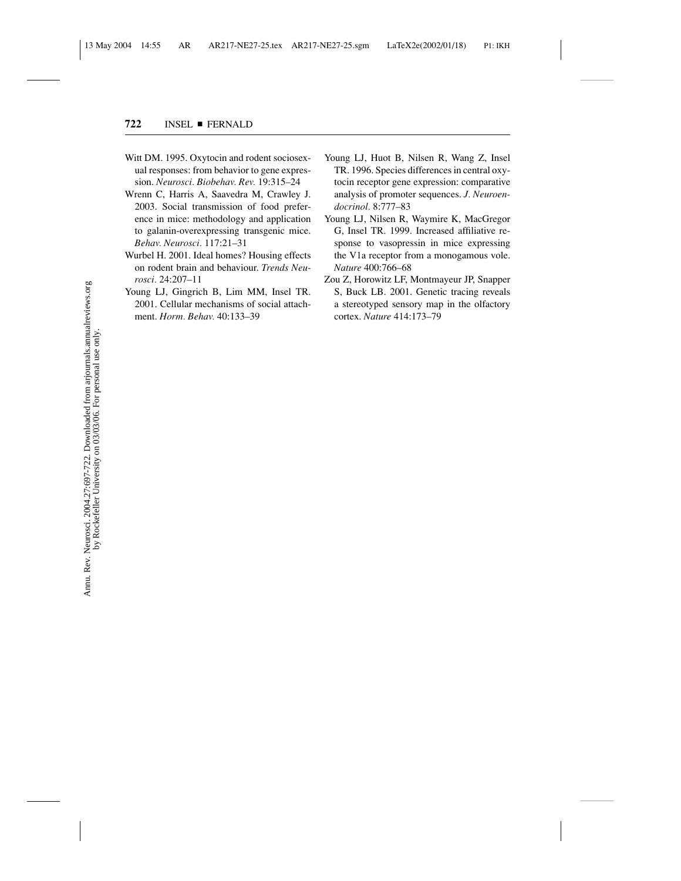- Witt DM. 1995. Oxytocin and rodent sociosexual responses: from behavior to gene expression. *Neurosci. Biobehav. Rev.* 19:315–24
- Wrenn C, Harris A, Saavedra M, Crawley J. 2003. Social transmission of food preference in mice: methodology and application to galanin-overexpressing transgenic mice. *Behav. Neurosci.* 117:21–31
- Wurbel H. 2001. Ideal homes? Housing effects on rodent brain and behaviour. *Trends Neurosci.* 24:207–11
- Young LJ, Gingrich B, Lim MM, Insel TR. 2001. Cellular mechanisms of social attachment. *Horm. Behav.* 40:133–39
- Young LJ, Huot B, Nilsen R, Wang Z, Insel TR. 1996. Species differences in central oxytocin receptor gene expression: comparative analysis of promoter sequences. *J. Neuroendocrinol.* 8:777–83
- Young LJ, Nilsen R, Waymire K, MacGregor G, Insel TR. 1999. Increased affiliative response to vasopressin in mice expressing the V1a receptor from a monogamous vole. *Nature* 400:766–68
- Zou Z, Horowitz LF, Montmayeur JP, Snapper S, Buck LB. 2001. Genetic tracing reveals a stereotyped sensory map in the olfactory cortex. *Nature* 414:173–79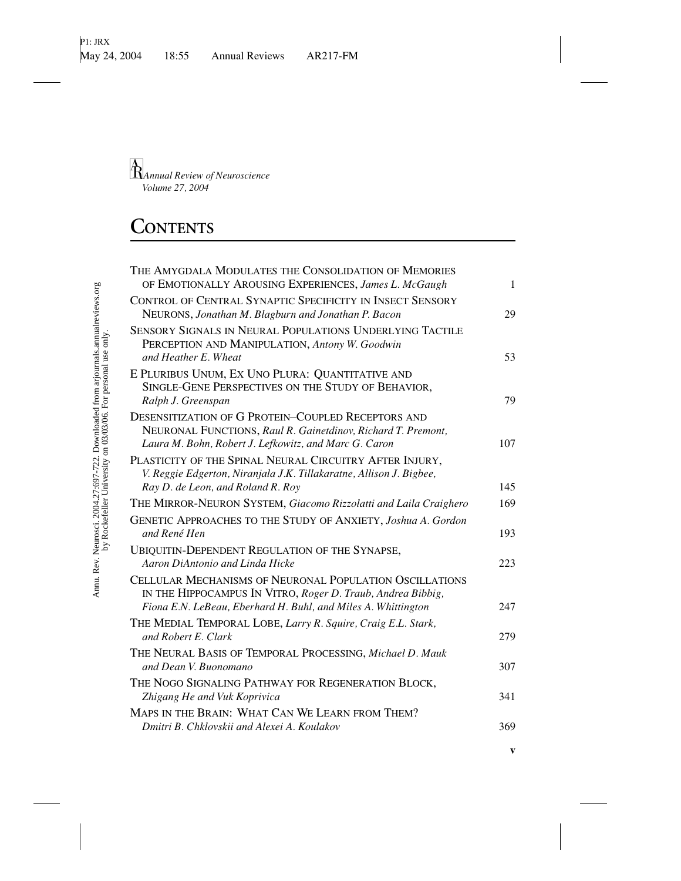# **CONTENTS**

| THE AMYGDALA MODULATES THE CONSOLIDATION OF MEMORIES<br>OF EMOTIONALLY AROUSING EXPERIENCES, James L. McGaugh                  | $\mathbf{1}$ |
|--------------------------------------------------------------------------------------------------------------------------------|--------------|
| CONTROL OF CENTRAL SYNAPTIC SPECIFICITY IN INSECT SENSORY<br>NEURONS, Jonathan M. Blagburn and Jonathan P. Bacon               | 29           |
| SENSORY SIGNALS IN NEURAL POPULATIONS UNDERLYING TACTILE<br>PERCEPTION AND MANIPULATION, Antony W. Goodwin                     |              |
| and Heather E. Wheat                                                                                                           | 53           |
| E PLURIBUS UNUM, EX UNO PLURA: QUANTITATIVE AND<br>SINGLE-GENE PERSPECTIVES ON THE STUDY OF BEHAVIOR,<br>Ralph J. Greenspan    | 79           |
| <b>DESENSITIZATION OF G PROTEIN-COUPLED RECEPTORS AND</b><br>NEURONAL FUNCTIONS, Raul R. Gainetdinov, Richard T. Premont,      |              |
| Laura M. Bohn, Robert J. Lefkowitz, and Marc G. Caron                                                                          | 107          |
| PLASTICITY OF THE SPINAL NEURAL CIRCUITRY AFTER INJURY,<br>V. Reggie Edgerton, Niranjala J.K. Tillakaratne, Allison J. Bigbee, |              |
| Ray D. de Leon, and Roland R. Roy                                                                                              | 145          |
| THE MIRROR-NEURON SYSTEM, Giacomo Rizzolatti and Laila Craighero                                                               | 169          |
| GENETIC APPROACHES TO THE STUDY OF ANXIETY, Joshua A. Gordon<br>and René Hen                                                   | 193          |
| <b>UBIQUITIN-DEPENDENT REGULATION OF THE SYNAPSE,</b>                                                                          |              |
| Aaron DiAntonio and Linda Hicke                                                                                                | 223          |
| CELLULAR MECHANISMS OF NEURONAL POPULATION OSCILLATIONS<br>IN THE HIPPOCAMPUS IN VITRO, Roger D. Traub, Andrea Bibbig,         |              |
| Fiona E.N. LeBeau, Eberhard H. Buhl, and Miles A. Whittington                                                                  | 247          |
| THE MEDIAL TEMPORAL LOBE, Larry R. Squire, Craig E.L. Stark,<br>and Robert E. Clark                                            | 279          |
| THE NEURAL BASIS OF TEMPORAL PROCESSING, Michael D. Mauk<br>and Dean V. Buonomano                                              | 307          |
| THE NOGO SIGNALING PATHWAY FOR REGENERATION BLOCK,<br>Zhigang He and Vuk Koprivica                                             | 341          |
| MAPS IN THE BRAIN: WHAT CAN WE LEARN FROM THEM?                                                                                |              |
| Dmitri B. Chklovskii and Alexei A. Koulakov                                                                                    | 369          |